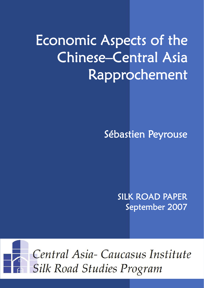# Economic Aspects of the Chinese–Central Asia Rapprochement

Sébastien Peyrouse

SILK ROAD PAPER September 2007

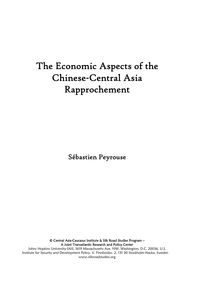# The Economic Aspects of the Chinese**-**Central Asia Rapprochement

Sébastien Peyrouse

© Central Asia-Caucasus Institute & Silk Road Studies Program – A Joint Transatlantic Research and Policy Center

Johns Hopkins University-SAIS, 1619 Massachusetts Ave. NW, Washington, D.C. 20036, U.S. Institute for Security and Development Policy, V. Finnbodav. 2, 131 30 Stockholm-Nacka, Sweden www.silkroadstudies.org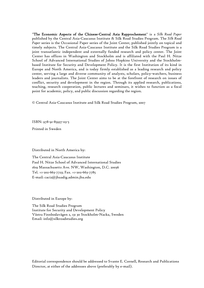"The Economic Aspects of the Chinese-Central Asia Rapprochement" is a *Silk Road Paper*  published by the Central Asia-Caucasus Institute & Silk Road Studies Program. The *Silk Road Paper* series is the Occasional Paper series of the Joint Center, published jointly on topical and timely subjects. The Central Asia-Caucasus Institute and the Silk Road Studies Program is a joint transatlantic independent and externally funded research and policy center. The Joint Center has offices in Washington and Stockholm and is affiliated with the Paul H. Nitze School of Advanced International Studies of Johns Hopkins University and the Stockholmbased Institute for Security and Development Policy. It is the first Institution of its kind in Europe and North America, and is today firmly established as a leading research and policy center, serving a large and diverse community of analysts, scholars, policy-watchers, business leaders and journalists. The Joint Center aims to be at the forefront of research on issues of conflict, security and development in the region. Through its applied research, publications, teaching, research cooperation, public lectures and seminars, it wishes to function as a focal point for academic, policy, and public discussion regarding the region.

© Central Asia-Caucasus Institute and Silk Road Studies Program, 2007

ISBN: 978-91-85937-03-5

Printed in Sweden

Distributed in North America by:

The Central Asia-Caucasus Institute Paul H. Nitze School of Advanced International Studies 1619 Massachusetts Ave. NW, Washington, D.C. 20036 Tel. +1-202-663-7723; Fax. +1-202-663-7785 E-mail: caci2@jhuadig.admin.jhu.edu

Distributed in Europe by:

The Silk Road Studies Program Institute for Security and Development Policy Västra Finnbodavägen 2, 131 30 Stockholm-Nacka, Sweden Email: info@silkroadstudies.org

Editorial correspondence should be addressed to Svante E. Cornell, Research and Publications Director, at either of the addresses above (preferably by e-mail).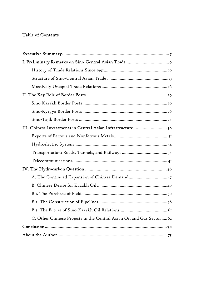# Table of Contents

| III. Chinese Investments in Central Asian Infrastructure 30          |
|----------------------------------------------------------------------|
|                                                                      |
|                                                                      |
|                                                                      |
|                                                                      |
|                                                                      |
| A. The Continued Expansion of Chinese Demand47                       |
|                                                                      |
|                                                                      |
|                                                                      |
|                                                                      |
| C. Other Chinese Projects in the Central Asian Oil and Gas Sector 62 |
|                                                                      |
|                                                                      |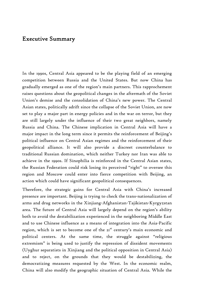# Executive Summary

In the 1990s, Central Asia appeared to be the playing field of an emerging competition between Russia and the United States. But now China has gradually emerged as one of the region's main partners. This rapprochement raises questions about the geopolitical changes in the aftermath of the Soviet Union's demise and the consolidation of China's new power. The Central Asian states, politically adrift since the collapse of the Soviet Union, are now set to play a major part in energy policies and in the war on terror, but they are still largely under the influence of their two great neighbors, namely Russia and China. The Chinese implication in Central Asia will have a major impact in the long term since it permits the reinforcement of Beijing's political influence on Central Asian regimes and the reinforcement of their geopolitical alliance. It will also provide a discreet counterbalance to traditional Russian domination, which neither Turkey nor Iran was able to achieve in the 1990s. If Sinophilia is reinforced in the Central Asian states, the Russian Federation could risk losing its perceived "right" to oversee this region and Moscow could enter into fierce competition with Beijing, an action which could have significant geopolitical consequences.

Therefore, the strategic gains for Central Asia with China's increased presence are important. Beijing is trying to check the trans-nationalization of arms and drug networks in the Xinjiang-Afghanistan-Tajikistan-Kyrgyzstan area. The future of Central Asia will largely depend on the region's ability both to avoid the destabilization experienced in the neighboring Middle East and to use Chinese influence as a means of integration into the Asia-Pacific region, which is set to become one of the 2<sup>st</sup> century's main economic and political centers. At the same time, the struggle against "religious extremism" is being used to justify the repression of dissident movements (Uyghur separatists in Xinjiang and the political opposition in Central Asia) and to reject, on the grounds that they would be destabilizing, the democratizing measures requested by the West. In the economic realm, China will also modify the geographic situation of Central Asia. While the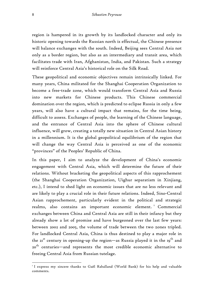region is hampered in its growth by its landlocked character and only its historic opening towards the Russian north is effectual, the Chinese presence will balance exchanges with the south. Indeed, Beijing sees Central Asia not only as a border region, but also as an intermediary and transit area, which facilitates trade with Iran, Afghanistan, India, and Pakistan. Such a strategy will reinforce Central Asia's historical role on the Silk Road.

These geopolitical and economic objectives remain intrinsically linked. For many years, China militated for the Shanghai Cooperation Organization to become a free-trade zone, which would transform Central Asia and Russia into new markets for Chinese products. This Chinese commercial domination over the region, which is predicted to eclipse Russia in only a few years, will also have a cultural impact that remains, for the time being, difficult to assess. Exchanges of people, the learning of the Chinese language, and the entrance of Central Asia into the sphere of Chinese cultural influence, will grow, creating a totally new situation in Central Asian history in a millennium. It is the global geopolitical equilibrium of the region that will change the way Central Asia is perceived as one of the economic "provinces" of the Peoples' Republic of China.

In this paper, I aim to analyze the development of China's economic engagement with Central Asia, which will determine the future of their relations. Without bracketing the geopolitical aspects of this rapprochement (the Shanghai Cooperation Organization, Uighur separatism in Xinjiang, etc.), I intend to shed light on economic issues that are no less relevant and are likely to play a crucial role in their future relations. Indeed, Sino-Central Asian rapprochement, particularly evident in the political and strategic realms, also contains an important economic element.<sup>1</sup> Commercial exchanges between China and Central Asia are still in their infancy but they already show a lot of promise and have burgeoned over the last few years: between 2002 and 2005, the volume of trade between the two zones tripled. For landlocked Central Asia, China is thus destined to play a major role in the  $2I<sup>st</sup>$  century in opening-up the region—as Russia played it in the  $19<sup>th</sup>$  and 20 $^{\rm th}$  centuries—and represents the most credible economic alternative to freeing Central Asia from Russian tutelage.

I express my sincere thanks to Gaël Raballand (World Bank) for his help and valuable comments.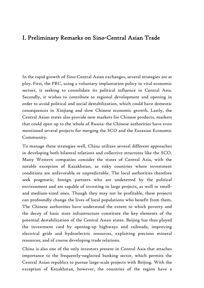# I. Preliminary Remarks on Sino-Central Asian Trade

In the rapid growth of Sino-Central Asian exchanges, several strategies are at play. First, the PRC, using a voluntary implantation policy in vital economic sectors, is seeking to consolidate its political influence in Central Asia. Secondly, it wishes to contribute to regional development and opening in order to avoid political and social destabilization, which could have domestic consequences in Xinjiang and slow Chinese economic growth. Lastly, the Central Asian states also provide new markets for Chinese products, markets that could open up to the whole of Russia: the Chinese authorities have even mentioned several projects for merging the SCO and the Eurasian Economic Community.

To manage these strategies well, China utilizes several different approaches in developing both bilateral relations and collective structures like the SCO. Many Western companies consider the states of Central Asia, with the notable exception of Kazakhstan, as risky countries where investment conditions are unfavorable or unpredictable. The local authorities therefore seek pragmatic, foreign partners who are undeterred by the political environment and are capable of investing in large projects, as well in smalland medium-sized ones. Though they may not be profitable, these projects can profoundly change the lives of local populations who benefit from them. The Chinese authorities have understood the extent to which poverty and the decay of basic state infrastructure constitute the key elements of the potential destabilization of the Central Asian states. Beijing has thus played the investment card by opening-up highways and railroads, improving electrical grids and hydroelectric resources, exploiting precious mineral resources, and of course developing trade relations.

China is also one of the only investors present in Central Asia that attaches importance to the frequently-neglected banking sector, which permits the Central Asian republics to pursue large-scale projects with Beijing. With the exception of Kazakhstan, however, the countries of the region have a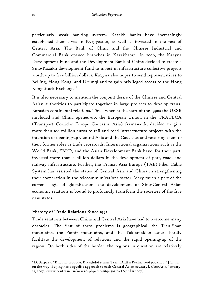particularly weak banking system. Kazakh banks have increasingly established themselves in Kyrgyzstan, as well as invested in the rest of Central Asia. The Bank of China and the Chinese Industrial and Commercial Bank opened branches in Kazakhstan. In 2006, the Kazyna Development Fund and the Development Bank of China decided to create a Sino-Kazakh development fund to invest in infrastructure collective projects worth up to five billion dollars. Kazyna also hopes to send representatives to Beijing, Hong Kong, and Urumqi and to gain privileged access to the Hong Kong Stock Exchange.<sup>2</sup>

It is also necessary to mention the conjoint desire of the Chinese and Central Asian authorities to participate together in large projects to develop trans-Eurasian continental relations. Thus, when at the start of the 1990s the USSR imploded and China opened-up, the European Union, in the TRACECA (Transport Corridor Europe Caucasus Asia) framework, decided to give more than 100 million euros to rail and road infrastructure projects with the intention of opening-up Central Asia and the Caucasus and restoring them to their former roles as trade crossroads. International organizations such as the World Bank, EBRD, and the Asian Development Bank have, for their part, invested more than a billion dollars in the development of port, road, and railway infrastructure. Further, the Transit Asia Europe (TAE) Fiber Cable System has assisted the states of Central Asia and China in strengthening their cooperation in the telecommunications sector. Very much a part of the current logic of globalization, the development of Sino-Central Asian economic relations is bound to profoundly transform the societies of the five new states.

### History of Trade Relations Since 1991

 $\overline{a}$ 

Trade relations between China and Central Asia have had to overcome many obstacles. The first of these problems is geographical: the Tian-Shan mountains, the Pamir mountains, and the Taklamaklan desert hardly facilitate the development of relations and the rapid opening-up of the region. On both sides of the border, the regions in question are relatively

 $^{\text{2}}$  D. Satpaev. "Kitai na provode. K kazhdoi strane TsentrAzii u Pekina svoi podkhod," [China on the way. Beijing has a specific approach to each Central Asian country], *CentrAsia*, January 22, 2007, <www.centrasia.ru/newsA.php4?st=1169450220> (April 11 2007).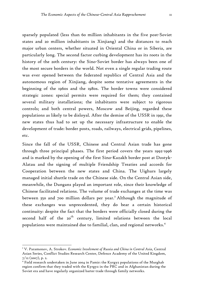sparsely populated (less than 60 million inhabitants in the five post-Soviet states and 20 million inhabitants in Xinjiang) and the distances to reach major urban centers, whether situated in Oriental China or in Siberia, are particularly long. The second factor curbing development has its roots in the history of the 20th century: the Sino-Soviet border has always been one of the most secure borders in the world. Not even a single regular trading route was ever opened between the federated republics of Central Asia and the autonomous region of Xinjiang, despite some tentative agreements in the beginning of the 1960s and the 1980s. The border towns were considered strategic zones: special permits were required for them; they contained several military installations; the inhabitants were subject to rigorous controls; and both central powers, Moscow and Beijing, regarded these populations as likely to be disloyal. After the demise of the USSR in 1991, the new states thus had to set up the necessary infrastructure to enable the development of trade: border posts, roads, railways, electrical grids, pipelines,

etc.

1

Since the fall of the USSR, Chinese and Central Asian trade has gone through three principal phases. The first period covers the years 1992-1996 and is marked by the opening of the first Sino-Kazakh border post at Dostyk-Alatau and the signing of multiple Friendship Treaties and accords for Cooperation between the new states and China. The Uighurs largely managed initial shuttle trade on the Chinese side. On the Central Asian side, meanwhile, the Dungans played an important role, since their knowledge of Chinese facilitated relations. The volume of trade exchanges at the time was between 350 and 700 million dollars per year.<sup>3</sup> Although the magnitude of these exchanges was unprecedented, they do bear a certain historical continuity: despite the fact that the borders were officially closed during the second half of the  $20^{th}$  century, limited relations between the local populations were maintained due to familial, clan, and regional networks.<sup>4</sup>

<sup>3</sup> V. Paramonov, A. Strokov. *Economic Involvment of Russia and China in Central Asia*, Central Asian Series, Conflict Studies Research Center, Defence Academy of the United Kingdom,  $7/12$  (2007), p. 2.

<sup>4</sup> Field research undertaken in June 2004 in Pamir: the Kyrgyz populations of the Murghab region confirm that they traded with the Kyrgyz in the PRC and in Afghanistan during the Soviet era and have regularly organized barter trade through family networks.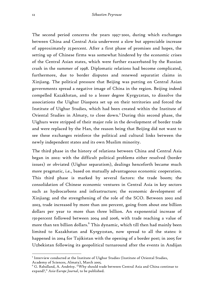The second period concerns the years 1997-2001, during which exchanges between China and Central Asia underwent a slow but appreciable increase of approximately 25 percent. After a first phase of promises and hopes, the setting up of Chinese firms was somewhat hindered by the economic crises of the Central Asian states, which were further exacerbated by the Russian crash in the summer of 1998. Diplomatic relations had become complicated, furthermore, due to border disputes and renewed separatist claims in Xinjiang. The political pressure that Beijing was putting on Central Asian governments spread a negative image of China in the region. Beijing indeed compelled Kazakhstan, and to a lesser degree Kyrgyzstan, to dissolve the associations the Uighur Diaspora set up on their territories and forced the Institute of Uighur Studies, which had been created within the Institute of Oriental Studies in Almaty, to close down.<sup>5</sup> During this second phase, the Uighurs were stripped of their major role in the development of border trade and were replaced by the Han, the reason being that Beijing did not want to see these exchanges reinforce the political and cultural links between the newly independent states and its own Muslim minority.

The third phase in the history of relations between China and Central Asia began in 2002: with the difficult political problems either resolved (border issues) or obviated (Uighur separatism), dealings henceforth became much more pragmatic, i.e., based on mutually advantageous economic cooperation. This third phase is marked by several factors: the trade boom; the consolidation of Chinese economic ventures in Central Asia in key sectors such as hydrocarbons and infrastructure; the economic development of Xinjiang; and the strengthening of the role of the SCO. Between 2002 and 2003, trade increased by more than 200 percent, going from about one billion dollars per year to more than three billion. An exponential increase of 150 percent followed between 2004 and 2006, with trade reaching a value of more than ten billion dollars.<sup>6</sup> This dynamic, which till then had mainly been limited to Kazakhstan and Kyrgyzstan, now spread to all the states: it happened in 2004 for Tajikistan with the opening of a border post; in 2005 for Uzbekistan following its geopolitical turnaround after the events in Andijan

 $^5$ Interview conducted at the Institute of Uighur Studies (Institute of Oriental Studies, Academy of Sciences, Almaty), March 2005.

 $^6$  G. Raballand, A. Andrésy. "Why should trade between Central Asia and China continue to expand?," *Asia-Europe Journal*, to be published.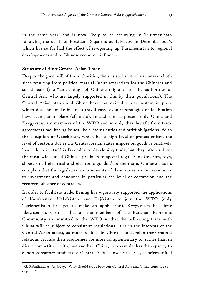in the same year; and is now likely to be occurring in Turkmenistan following the death of President Saparmurad Niyazov in December 2006, which has so far had the effect of re-opening up Turkmenistan to regional developments and to Chinese economic influence.

### Structure of Sino-Central Asian Trade

Despite the good will of the authorities, there is still a lot of wariness on both sides resulting from political fears (Uighur separatism for the Chinese) and social fears (the "unleashing" of Chinese migrants for the authorities of Central Asia who are largely supported in this by their populations). The Central Asian states and China have maintained a visa system in place which does not make business travel easy, even if strategies of facilitation have been put in place (cf. infra). In addition, at present only China and Kyrgyzstan are members of the WTO and so only they benefit from trade agreements facilitating issues like customs duties and tariff obligations. With the exception of Uzbekistan, which has a high level of protectionism, the level of customs duties the Central Asian states impose on goods is relatively low, which in itself is favorable to developing trade, but they often subject the most widespread Chinese products to special regulations (textiles, toys, shoes, small electrical and electronic goods).<sup>7</sup> Furthermore, Chinese traders complain that the legislative environments of these states are not conducive to investment and denounce in particular the level of corruption and the recurrent absence of contracts.

In order to facilitate trade, Beijing has vigorously supported the applications of Kazakhstan, Uzbekistan, and Tajikistan to join the WTO (only Turkmenistan has yet to make an application). Kyrgyzstan has done likewise; its wish is that all the members of the Eurasian Economic Community are admitted to the WTO so that the ballooning trade with China will be subject to consistent regulations. It is in the interests of the Central Asian states, as much as it is in China's, to develop their mutual relations because their economies are more complementary to, rather than in direct competition with, one another. China, for example, has the capacity to export consumer products to Central Asia at low prices, i.e., at prices suited

1

 $^7$  G. Raballand, A. Andrésy. "Why should trade between Central Asia and China continue to expand?"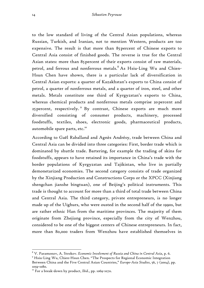to the low standard of living of the Central Asian populations, whereas Russian, Turkish, and Iranian, not to mention Western, products are too expensive. The result is that more than 85 percent of Chinese exports to Central Asia consist of finished goods. The reverse is true for the Central Asian states: more than 85 percent of their exports consist of raw materials, petrol, and ferrous and nonferrous metals.<sup>8</sup> As Hsiu-Ling Wu and Chien-Hsun Chen have shown, there is a particular lack of diversification in Central Asian exports: a quarter of Kazakhstan's exports to China consist of petrol, a quarter of nonferrous metals, and a quarter of iron, steel, and other metals. Metals constitute one third of Kyrgyzstan's exports to China, whereas chemical products and nonferrous metals comprise 20 percent and 25 percent, respectively. <sup>9</sup> By contrast, Chinese exports are much more diversified consisting of consumer products, machinery, processed foodstuffs, textiles, shoes, electronic goods, pharmaceutical products, automobile spare parts, etc.<sup>10</sup>

According to Gaël Raballand and Agnès Andrésy, trade between China and Central Asia can be divided into three categories: First, border trade which is dominated by shuttle trade. Bartering, for example the trading of skins for foodstuffs, appears to have retained its importance in China's trade with the border populations of Kyrgyzstan and Tajikistan, who live in partially demonetarized economies. The second category consists of trade organized by the Xinjiang Production and Constructions Corps or the XPCC (Xinjiang shengchan jianshe bingtuan), one of Beijing's political instruments. This trade is thought to account for more than a third of total trade between China and Central Asia. The third category, private entrepreneurs, is no longer made up of the Uighurs, who were ousted in the second half of the 1990s, but are rather ethnic Han from the maritime provinces. The majority of them originate from Zhejiang province, especially from the city of Wenzhou, considered to be one of the biggest centers of Chinese entrepreneurs. In fact, more than 80,000 traders from Wenzhou have established themselves in

<sup>&</sup>lt;sup>8</sup> V. Paramonov, A. Strokov. *Economic Involvment of Russia and China in Central Asia*, p. 6.<br><sup>9</sup> Heiu-Ling Wu, Chion-Heup Chon. "The Prespects for Pegional Economic Integration. Hsiu-Ling Wu, Chien-Hsun Chen. "The Prospects for Regional Economic Integration

Between China and the Five Central Asian Countries," *Europe-Asia Studies*, 56, 7 (2004), pp. 1059-1080.

<sup>&</sup>lt;sup>10</sup> For a break-down by product, Ibid., pp. 1069-1070.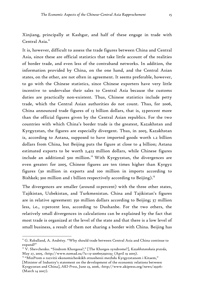Xinjiang, principally at Kashgar, and half of these engage in trade with Central Asia.<sup>11</sup>

It is, however, difficult to assess the trade figures between China and Central Asia, since these are official statistics that take little account of the realities of border trade, and even less of the contraband networks. In addition, the information provided by China, on the one hand, and the Central Asian states, on the other, are not often in agreement. It seems preferable, however, to go with the Chinese statistics, since Chinese exporters have very little incentive to undervalue their sales to Central Asia because the customs duties are practically non-existent. Thus, Chinese statistics include petty trade, which the Central Asian authorities do not count. Thus, for 2006, China announced trade figures of 13 billion dollars, that is, 23 percent more than the official figures given by the Central Asian republics. For the two countries with which China's border trade is the greatest, Kazakhstan and Kyrgyzstan, the figures are especially divergent. Thus, in 2005, Kazakhstan is, according to Astana, supposed to have imported goods worth 1.2 billion dollars from China, but Beijing puts the figure at close to 4 billion; Astana estimated exports to be worth 2,423 million dollars, while Chinese figures include an additional 500 million.<sup>12</sup> With Kyrgyzstan, the divergences are even greater: for 2005, Chinese figures are ten times higher than Kyrgyz figures (30 million in exports and 100 million in imports according to Bishkek; 300 million and 1 billion respectively according to Beijing).<sup>13</sup>

The divergences are smaller (around 10 percent) with the three other states, Tajikistan, Uzbekistan, and Turkmenistan. China and Tajikistan's figures are in relative agreement: 350 million dollars according to Beijing; 37 million less, i.e., 11 percent less, according to Dushanbe. For the two others, the relatively small divergences in calculations can be explained by the fact that most trade is organized at the level of the state and that there is a low level of small business, a result of them not sharing a border with China. Beijing has

1

<sup>&</sup>lt;sup>11</sup> G. Raballand, A. Andrésy. "Why should trade between Central Asia and China continue to expand?"

<sup>12</sup> V. Shevchenko. "Sindrom Khorgosa?," [The Khorgos syndrome?], *Kazakhstanskaia pravda*, May 27, 2005, <http://www.nomad.su/?a=13-200605290119> (April 19 2005).<br><sup>13</sup> "MinProm o razvitii ekonomicheskikh otnoshenii mezhdu Kyrgyzstanom i Kitaem,"

<sup>[</sup>Minister of Industry's statement on the development of the economic relations between Kyrgyzstan and China], *AKI-Press*, June 23, 2006, <http://www.akipress.org/news/29316> (March 14 2007).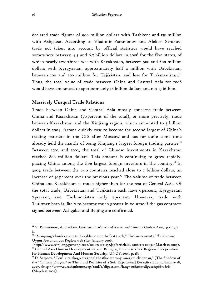declared trade figures of 900 million dollars with Tashkent and 133 million with Ashgabat. According to Vladimir Paramonov and Aleksei Strokov, trade not taken into account by official statistics would have reached somewhere between 4.5 and 6.5 billion dollars in 2006 for the five states, of which nearly two-thirds was with Kazakhstan, between 500 and 800 million dollars with Kyrgyzstan, approximately half a million with Uzbekistan, between 100 and 200 million for Tajikistan, and less for Turkmenistan.<sup>14</sup> Thus, the total value of trade between China and Central Asia for 2006 would have amounted to approximately 18 billion dollars and not 13 billion.

#### Massively Unequal Trade Relations

Trade between China and Central Asia mostly concerns trade between China and Kazakhstan (70 percent of the total), or more precisely, trade between Kazakhstan and the Xinjiang region, which amounted to 3 billion dollars in 2004. Astana quickly rose to become the second largest of China's trading partners in the CIS after Moscow and has for quite some time already held the mantle of being Xinjiang's largest foreign trading partner.<sup>15</sup> Between 1992 and 2002, the total of Chinese investments in Kazakhstan reached 800 million dollars. This amount is continuing to grow rapidly, placing China among the five largest foreign investors in the country.<sup>16</sup> In 2005, trade between the two countries reached close to 7 billion dollars, an increase of 50 percent over the previous year.<sup>17</sup> The volume of trade between China and Kazakhstan is much higher than for the rest of Central Asia. Of the total trade, Uzbekistan and Tajikistan each have 9 percent, Kyrgyzstan 7 percent, and Turkmenistan only 2 percent. However, trade with Turkmenistan is likely to become much greater in volume if the gas contracts signed between Ashgabat and Beijing are confirmed.

<sup>14</sup> V. Paramonov, A. Strokov. *Economic Involvment of Russia and China in Central Asia*, *op. cit*., p. 8.

<sup>15 &</sup>quot;Xianjiang's border trade to Kazakhstan on the fast track," *The Government of the Xinjiang*  Uygur Autonomous Region web site, January 2006,

<sup>&</sup>lt;http://www.xinjiang.gov.cn/1\$002/1\$002\$013/352.jsp?articleid=2006-1-3-0003> (March 12 2007).

<sup>&</sup>lt;sup>16</sup> Central Asia Human Development Report. Bringing Down Barriers: Regional Cooperation for Human Development And Human Security, UNDP, 2005, p. 189.<br><sup>17</sup> D. Satpaev. "Ten' 'kitaiskogo dragona' zhestkie storony miagkoi ekspansii," [The Shadow of

the "Chinese Dragon" or The Hard Realities of a Soft Expansion] Evraziiskii dom, January 18, 2007, <http://www.eurasianhome.org/xml/t/digest.xml?lang=ru&nic=digest&pid=1816> (March 12 2007).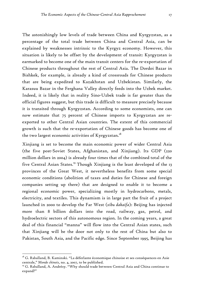The astonishingly low levels of trade between China and Kyrgyzstan, as a percentage of the total trade between China and Central Asia, can be explained by weaknesses intrinsic to the Kyrgyz economy. However, this situation is likely to be offset by the development of transit: Kyrgyzstan is earmarked to become one of the main transit centers for the re-exportation of Chinese products throughout the rest of Central Asia. The Dordoi Bazar in Bishkek, for example, is already a kind of crossroads for Chinese products that are being expedited to Kazakhstan and Uzbekistan. Similarly, the Karasuu Bazar in the Ferghana Valley directly feeds into the Uzbek market. Indeed, it is likely that in reality Sino-Uzbek trade is far greater than the official figures suggest, but this trade is difficult to measure precisely because it is transited through Kyrgyzstan. According to some economists, one can now estimate that 75 percent of Chinese imports to Kyrgyzstan are reexported to other Central Asian countries. The extent of this commercial growth is such that the re-exportation of Chinese goods has become one of the two largest economic activities of Kyrgyzstan.<sup>18</sup>

Xinjiang is set to become the main economic power of wider Central Asia (the five post-Soviet States, Afghanistan, and Xinjiang). Its GDP (220 million dollars in 2004) is already four times that of the combined total of the five Central Asian States.<sup>19</sup> Though Xinjiang is the least developed of the 13 provinces of the Great West, it nevertheless benefits from some special economic conditions (abolition of taxes and duties for Chinese and foreign companies setting up there) that are designed to enable it to become a regional economic power, specializing mostly in hydrocarbons, metals, electricity, and textiles. This dynamism is in large part the fruit of a project launched in 2000 to develop the Far West (*xibu dakaifa*): Beijing has injected more than 8 billion dollars into the road, railway, gas, petrol, and hydroelectric sectors of this autonomous region. In the coming years, a great deal of this financial "manna" will flow into the Central Asian states, such that Xinjiang will be the door not only to the rest of China but also to Pakistan, South Asia, and the Pacific edge. Since September 1995, Beijing has

<u>.</u>

<sup>&</sup>lt;sup>18</sup> G. Raballand, B. Kaminski. "La déferlante économique chinoise et ses conséquences en Asie centrale," *Monde chinois*, no. 4, 2007, to be published.<br><sup>19</sup> G. Raballand, A. Andrésy. "Why should trade between Central Asia and China continue to

expand?"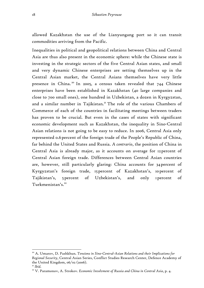allowed Kazakhstan the use of the Lianyungang port so it can transit commodities arriving from the Pacific.

Inequalities in political and geopolitical relations between China and Central Asia are thus also present in the economic sphere: while the Chinese state is investing in the strategic sectors of the five Central Asian states, and small and very dynamic Chinese enterprises are setting themselves up in the Central Asian market, the Central Asians themselves have very little presence in China.<sup>20</sup> In 2005, a census taken revealed that 744 Chinese enterprises have been established in Kazakhstan (40 large companies and close to 700 small ones), one hundred in Uzbekistan, a dozen in Kyrgyzstan, and a similar number in Tajikistan.<sup>21</sup> The role of the various Chambers of Commerce of each of the countries in facilitating meetings between traders has proven to be crucial. But even in the cases of states with significant economic development such as Kazakhstan, the inequality in Sino-Central Asian relations is not going to be easy to reduce. In 2006, Central Asia only represented 0.6 percent of the foreign trade of the People's Republic of China, far behind the United States and Russia. *A contrario*, the position of China in Central Asia is already major, as it accounts on average for 12 percent of Central Asian foreign trade. Differences between Central Asian countries are, however, still particularly glaring: China accounts for 34 percent of Kyrgyzstan's foreign trade, 15 percent of Kazakhstan's, 10 percent of Tajikistan's, 5 percent of Uzbekistan's, and only 1 percent of Turkmenistan's.<sup>22</sup>

<sup>20</sup> A. Umarov, D. Pashkhun. *Tensions in Sino-Central-Asian Relations and their Implications for Regional Security*, Central Asian Series, Conflict Studies Research Center, Defence Academy of the United Kingdom, 06/02 (2006).

<sup>21</sup> *Ibid.*

<sup>&</sup>lt;sup>22</sup> V. Paramonov, A. Strokov. *Economic Involvment of Russia and China in Central Asia*, p. 4.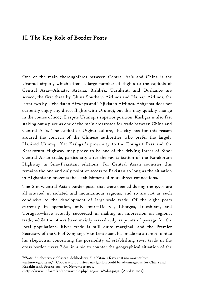# II. The Key Role of Border Posts

One of the main thoroughfares between Central Asia and China is the Urumqi airport, which offers a large number of flights to the capitals of Central Asia—Almaty, Astana, Bishkek, Tashkent, and Dushanbe are served, the first three by China Southern Airlines and Hainan Airlines, the latter two by Uzbekistan Airways and Tajikistan Airlines. Ashgabat does not currently enjoy any direct flights with Urumqi, but this may quickly change in the course of 2007. Despite Urumqi's superior position, Kashgar is also fast staking out a place as one of the main crossroads for trade between China and Central Asia. The capital of Uighur culture, the city has for this reason aroused the concern of the Chinese authorities who prefer the largely Hanized Urumqi. Yet Kashgar's proximity to the Torugart Pass and the Karakorum Highway may prove to be one of the driving forces of Sino-Central Asian trade, particularly after the revitalization of the Karakorum Highway in Sino-Pakistani relations. For Central Asian countries this remains the one and only point of access to Pakistan so long as the situation in Afghanistan prevents the establishment of more direct connections.

The Sino-Central Asian border posts that were opened during the 1990s are all situated in isolated and mountainous regions, and so are not as such conducive to the development of large-scale trade. Of the eight posts currently in operation, only four—Dostyk, Khorgos, Irkeshtam, and Torugart—have actually succeeded in making an impression on regional trade, while the others have mainly served only as points of passage for the local populations. River trade is still quite marginal, and the Premier Secretary of the CP of Xinjiang, Van Lentsiuan, has made no attempt to hide his skepticism concerning the possibility of establishing river trade in the cross-border rivers.23 So, in a bid to counter the geographical situation of the

<u>.</u>

<sup>23&</sup>quot;Sotrudnichestvo v oblasti sudokhodstva dlia Kitaia i Kazakhstana mozhet byt'

vzaimovygodnym," [Cooperation on river navigation could be advantageous for China and Kazakhstan], *Professional*, 97, November 2005,

<sup>&</sup>lt;http://www.inform.kz/showarticle.php?lang=rus&id=140231> (April 11 2007).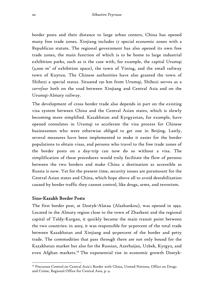border posts and their distance to large urban centers, China has opened many free trade zones. Xinjiang includes 17 special economic zones with a Republican statute. The regional government has also opened its own free trade zones, the main function of which is to be home to large industrial exhibition parks, such as is the case with, for example, the capital Urumqi  $(3,000 \text{ m}^2 \text{ of })$  exhibition space), the town of Yining, and the small railway town of Kuytun. The Chinese authorities have also granted the town of Shihezi a special status. Situated 150 km from Urumqi, Shihezi serves as a *carrefour* both on the road between Xinjiang and Central Asia and on the Urumqi-Almaty railway.

The development of cross border trade also depends in part on the existing visa system between China and the Central Asian states, which is slowly becoming more simplified. Kazakhstan and Kyrgyzstan, for example, have opened consulates in Urumqi to accelerate the visa process for Chinese businessmen who were otherwise obliged to get one in Beijing. Lastly, several measures have been implemented to make it easier for the border populations to obtain visas, and persons who travel to the free trade zones of the border posts on a day-trip can now do so without a visa. The simplification of these procedures would truly facilitate the flow of persons between the two borders and make China a destination as accessible as Russia is now. Yet for the present time, security issues are paramount for the Central Asian states and China, which hope above all to avoid destabilization caused by border traffic they cannot control, like drugs, arms, and terrorism.

# Sino-Kazakh Border Posts

 $\overline{a}$ 

The first border post, at Dostyk-Alatau (Alashankou), was opened in 1992. Located in the Almaty region close to the town of Zharkent and the regional capital of Taldy-Kurgan, it quickly became the main transit point between the two countries: in 2003, it was responsible for 50 percent of the total trade between Kazakhstan and Xinjiang and 90 percent of the border and petty trade. The commodities that pass through there are not only bound for the Kazakhstan market but also for the Russian, Azerbaijan, Uzbek, Kyrgyz, and even Afghan markets.<sup>24</sup> The exponential rise in economic growth Dostyk-

<sup>&</sup>lt;sup>24</sup> Precursor Control on Central Asia's Border with China, United Nations, Office on Drugs and Crime, Regional Office for Central Asia, p. 9.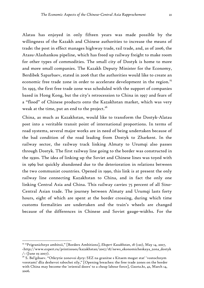Alatau has enjoyed in only fifteen years was made possible by the willingness of the Kazakh and Chinese authorities to increase the means of trade: the post in effect manages highway trade, rail trade, and, as of 2006, the Atasu-Alashankou pipeline, which has freed up railway freight to make room for other types of commodities. The small city of Dostyk is home to more and more small companies. The Kazakh Deputy Minister for the Economy, Berdibek Saparbaev, stated in 2006 that the authorities would like to create an economic free trade zone in order to accelerate development in the region.<sup>25</sup> In 1993, the first free trade zone was scheduled with the support of companies based in Hong Kong, but the city's retrocession to China in 1997 and fears of a "flood" of Chinese products onto the Kazakhstan market, which was very weak at the time, put an end to the project.<sup>26</sup>

China, as much as Kazakhstan, would like to transform the Dostyk-Alatau post into a veritable transit point of international proportions. In terms of road systems, several major works are in need of being undertaken because of the bad condition of the road leading from Dostyk to Zharkent. In the railway sector, the railway track linking Almaty to Urumqi also passes through Dostyk. The first railway line going to the border was constructed in the 1930s. The idea of linking up the Soviet and Chinese lines was toyed with in 1969 but quickly abandoned due to the deterioration in relations between the two communist countries. Opened in 1990, this link is at present the only railway line connecting Kazakhstan to China, and in fact the only one linking Central Asia and China. This railway carries 75 percent of all Sino-Central Asian trade. The journey between Almaty and Urumqi lasts forty hours, eight of which are spent at the border crossing, during which time customs formalities are undertaken and the train's wheels are changed because of the differences in Chinese and Soviet gauge-widths. For the

1

<sup>25 &</sup>quot;Prigranichnye ambitsii," [Borders Ambitions], *Ekspert Kazakhstan*, 18 (120), May 14, 2007, <http://www.expert.ru/printissues/kazakhstan/2007/18/news\_ekonomicheskaya\_zona\_dostyk  $/$ > (June 03 2007).

 $^{26}$  S. Bel'gibaev. "Otkrytie zonovoi dyry: SEZ na granitse s Kitaem mogut stat' 'vostochnym vorotami' dlia deshevoi rabochei sily," [Opening breaches: the free trade zones on the border with China may become the 'oriental doors' to a cheap labour force], *Gazeta.kz*, 42, March 14, 2006.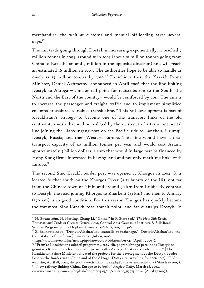merchandise, the wait at customs and manual off-loading takes several days.<sup>27</sup>

The rail trade going through Dostyk is increasing exponentially: it reached 7 million tonnes in 2004, around 13 in 2005 (about 10 million tonnes going from China to Kazakhstan and 3 million in the opposite direction) and will reach an estimated 16 million in 2007. The authorities hope to be able to handle as much as 25 million tonnes by 2010. 28 To achieve this, the Kazakh Prime Minister, Danial Akhmetov, announced in April 2006 that the line linking Dostyk to Aktogai—a major rail point for redistribution to the South, the North and the East of the country—would be reinforced by 2011. The aim is to increase the passenger and freight traffic and to implement simplified customs procedures to reduce transit time.<sup>29</sup> This rail development is part of Kazakhstan's strategy to become one of the transport links of the old continent, a wish that will be realized by the existence of a transcontinental line joining the Lianyungang port on the Pacific side to Lanzhou, Urumqi, Dostyk, Russia, and then Western Europe. This line would have a total transport capacity of 40 million tonnes per year and would cost Astana approximately 3 billion dollars, a sum that would in large part be financed by Hong Kong firms interested in having land and not only maritime links with Europe.<sup>30</sup>

The second Sino-Kazakh border post was opened at Khorgos in 2004. It is located further south on the Khorgos River (a tributary of the Ili), not far from the Chinese town of Yinin and around 90 km from Kuldja. By contrast to Dostyk, the road joining Khorgos to Zharkent (33 km) and then to Almaty (370 km) is in good condition. For this reason Khorgos has quickly become the foremost Sino-Kazakh road transit point, and far outstrips Dostyk. In

<sup>27</sup> N. Swanström, N. Norling, Zhang Li. "China," in F. Starr (ed.) *The New Silk Roads. Transport and Trade in Greater Central Asia*, Central Asia-Caucasus Institute & Silk Road Studies Program, Johns Hopkins University-SAIS, 2007, p. 406.

<sup>28</sup> Z. Bakhautdinova. "Dostyk-Alashan'kou, stantsiia budushchego," [Dostyk-Alashan'kou, the train station of the future], *Izvestia.kz*, July 9, 2006,

<sup>&</sup>lt;http://www.izvestia.kz/news.php?date=07-09-06&number=4> (April 15 2007). 29 "Prem'er Kazakhstana odobril programmu razvitiia pogranichnogo perekhoda Dostyk na granitse s Kitaem i zheleznodorozhnogo uchastka Aktogai-Dostyk na 2006-20011 g.," [The Kazakhstan Prime Minister validated the projects for the development of the Dostyk Border Post on the Border with China and of the Aktogai-Dostyk railway link for 2006-2011], *ITLS*  web site, April 18, 2004, <http://www.itls.kz/index.php?p=news\_more&id=11> (March 19 2007). <sup>30</sup> "New railway linking China, Europe to be built," *People's Daily*, March 18, 2004,

<sup>&</sup>lt;www.chinadaily.com.cn/english/doc/2004-03/18/content\_315973.htm> (April 15 2007).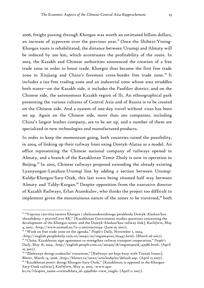2006, freight passing through Khorgos was worth an estimated billion dollars, an increase of 35 percent over the previous year.<sup>31</sup> Once the Shihezi-Yining-Khorgos route is rehabilitated, the distance between Urumqi and Almaty will be reduced by 200 km, which accentuates the profitability of the route. In 2003, the Kazakh and Chinese authorities announced the creation of a free trade zone in order to boost trade. Khorgos thus became the first free trade zone in Xinjiang and China's foremost cross-border free trade zone.<sup>32</sup> It includes a tax-free trading zone and an industrial zone whose area straddles both states—on the Kazakh side, it includes the Panfilov district, and on the Chinese side, the autonomous Kazakh region of Ili. An ethnographical park presenting the various cultures of Central Asia and of Russia is to be created on the Chinese side. And a system of one-day travel without visas has been set up. Again on the Chinese side, more than 200 companies, including China's largest leather company, are to be set up, and a number of them are specialized in new technologies and manufactured products.

In order to keep the momentum going, both countries raised the possibility, in 2004, of linking up their railway lines using Dostyk-Alatau as a model. An office representing the Chinese national company of railways opened in Almaty, and a branch of the Kazakhstan Temir Zholy is now in operation in Beijing.<sup>33</sup> In 2005, Chinese railways proposed extending the already existing Lyanyungan-Lanzhou-Urumqi line by adding a section between Urumqi-Kuldja-Khorgos-Sary-Ozek, this last town being situated half way between Almaty and Taldy-Kurgan.<sup>34</sup> Despite opposition from the executive director of Kazakh Railways, Erlan Atamkulov, who thinks the project too difficult to implement given the mountainous nature of the zones to be traversed, $35$  both

Sary-Ozek railway], *KazInform*, May 31, 2005, <www.apn-

1

<sup>31 &</sup>quot;Voprosy razvitiia tsentra Khorgos i zheleznodorozhnogo perekhoda Dostyk-Alashan'kou obsuzhdeny v pravitel'stve RK," [Kazakhstan Government studies questions concerning the development of the Khorgos center and the Dostyk-Alashan'kou railway link], *KazInform*, May 4, 2007, <http://www.nomad.su/?a=3-200705070234> (June 05 2007).

<sup>32 &</sup>quot;Work on free trade zone on the agenda," *People's Daily*, November 2, 2004,

<sup>&</sup>lt;http://english.peopledaily.com.cn/200411/02/eng20041102\_162447.html> (March 06 2007). 33 "China, Kazakhstan sign agreement to strengthen railway transport cooperation," *People's Daily*, May 18, 2004, <http://english.people.com.cn/200405/18/eng20040518\_143586.html> (April 05 2007).

<sup>&</sup>lt;sup>34</sup> "Zheleznye dorogi ozabotilis' tranzitom," [Railways are kept busy with Transit Issues], *Blotter*, March 14, 2006, <http://blotter.ru/news/article089A0/default.asp> (April 15 2007).<br><sup>35</sup> "Kazakhstan protiv dorogi Khorgos-Sary-Ozek," [Kazakhstan is opposed to the Khorgos-

kz.ru/?chapter\_name=events&data\_id=3399&do=view\_single> (April 11 2007).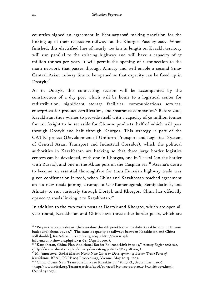countries signed an agreement in February 2006 making provision for the linking up of their respective railways at the Khorgos Pass by 2009. When finished, this electrified line of nearly 300 km in length on Kazakh territory will run parallel to the existing highway and will have a capacity of 25 million tonnes per year. It will permit the opening of a connection to the main network that passes through Almaty and will enable a second Sino-Central Asian railway line to be opened so that capacity can be freed up in Dostyk.<sup>36</sup>

As in Dostyk, this connecting section will be accompanied by the construction of a dry port which will be home to a logistical center for redistribution, significant storage facilities, communications services, enterprises for product certification, and insurance companies.<sup>37</sup> Before 2010, Kazakhstan thus wishes to provide itself with a capacity of 50 million tonnes for rail freight to be set aside for Chinese products, half of which will pass through Dostyk and half through Khorgos. This strategy is part of the CATIC project (Development of Uniform Transport and Logistical System of Central Asian Transport and Industrial Corridor), which the political authorities in Kazakhstan are backing so that three large border logistics centers can be developed, with one in Khorgos, one in Taskal (on the border with Russia), and one in the Aktau port on the Caspian sea.<sup>38</sup> Astana's desire to become an essential thoroughfare for trans-Eurasian highway trade was given confirmation in 2006, when China and Kazakhstan reached agreement on six new roads joining Urumqi to Ust-Kamenogorsk, Semipalatinsk, and Almaty to run variously through Dostyk and Khorgos. China has officially opened 22 roads linking it to Kazakhstan.<sup>39</sup>

In addition to the two main posts at Dostyk and Khorgos, which are open all year round, Kazakhstan and China have three other border posts, which are

<sup>36 &</sup>quot;Propusknaia sposobnost' zheleznodorozhnykh perekhodov mezhdu Kazakhstanom i Kitaem budet uvelichena vdvoe," [The transit capacity of railways between Kazakhstan and China will double], *KazInform*, December 13, 2005, <http://www.apk-

inform.com/showart.php?id=31764> (April 1 2007).

<sup>37 &</sup>quot;Kazakhstan, China Plan Additional Border Railroad-Link in 2009," *Almaty Region web site*, <http://www.almaty-reg.kz/almaty/investeng.phtml> (May 28 2007).

<sup>&</sup>lt;sup>38</sup> M. Junussova. *Global Market Needs New Cities or Development of Border Trade Ports of Kazakhstan*, REAL CORP 007 Proceedings, Vienna, May 20-23, 2007. 39 "China Opens New Transport Links to Kazakhstan," *RFE/RL*, September 1, 2006,

<sup>&</sup>lt;http://www.rferl.org/featuresarticle/2006/09/220f685e-15cc-4019-a042-87471f670071.html> (April 05 2007).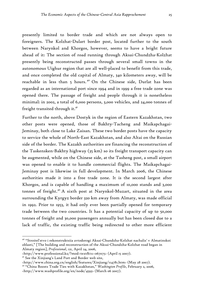presently limited to border trade and which are not always open to foreigners. The Kolzhat-Dulart border post, located further to the south between Narynkol and Khorgos, however, seems to have a bright future ahead of it: The section of road running through Aksai-Chundzha-Kolzhat presently being reconstructed passes through several small towns in the autonomous Uighur region that are all well-placed to benefit from this trade, and once completed the old capital of Almaty, 340 kilometers away, will be reachable in less than 5 hours.<sup>40</sup> On the Chinese side, Durlat has been regarded as an international port since 1994 and in 1999 a free trade zone was opened there. The passage of freight and people through it is nonetheless minimal: in 2002, a total of 6,000 persons, 3,000 vehicles, and 24,000 tonnes of freight transited through it.<sup>41</sup>

Further to the north, above Dostyk in the region of Eastern Kazakhstan, two other posts were opened, those of Bakhty-Tacheng and Maikapchagai-Jeminay, both close to Lake Zaisan. These two border posts have the capacity to service the whole of North-East Kazakhstan, and also Altai on the Russian side of the border. The Kazakh authorities are financing the reconstruction of the Taskensken-Bakhty highway (35 km) so its freight transport capacity can be augmented, while on the Chinese side, at the Tasheng post, a small airport was opened to enable it to handle commercial flights. The Maikapchagai-Jeminay post is likewise in full development. In March 2006, the Chinese authorities made it into a free trade zone. It is the second largest after Khorgos, and is capable of handling a maximum of 10,000 stands and 3,000 tonnes of freight.<sup>42</sup> A sixth post at Narynkol-Muzart, situated in the area surrounding the Kyrgyz border 320 km away from Almaty, was made official in 1992. Prior to 1953, it had only ever been partially opened for temporary trade between the two countries. It has a potential capacity of up to 50,000 tonnes of freight and 30,000 passengers annually but has been closed due to a lack of traffic, the existing traffic being redirected to other more efficient

1

<sup>40 &</sup>quot;Stroitel'stvo i rekonstruktsiia avtodorogi Aksai-Chundzha-Kolzhat nachalis' v Almatinskoi oblasti," [The building and reconstruction of the Aksai-Chundzha-Kolzhat road began in Almaty region], *Professional*, 121, April 24, 2006,

 $\langle \text{http://www.professional.kz/?mod=text (April 15 2007).<br><sup>41</sup> See the Xinjiang's Land Port and Border web site,$ 

<sup>&</sup>lt;http://www.china.org.cn/english/features/Xinjiang/114781.htm> (May 28 2007). 42 "China Boosts Trade Ties with Kazakhstan," *Washington Profile*, February 2, 2006,

<sup>&</sup>lt;http://www.washprofile.org/en/node/4593> (March 06 2007).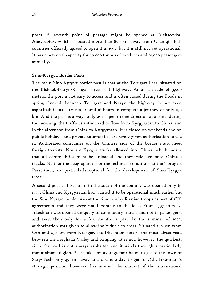posts. A seventh point of passage might be opened at Alekseevka-Aheytubiek, which is located more than 800 km away from Urumqi. Both countries officially agreed to open it in 1992, but it is still not yet operational. It has a potential capacity for 20,000 tonnes of products and 10,000 passengers annually.

# Sino-Kyrgyz Border Posts

The main Sino-Kyrgyz border post is that at the Torugart Pass, situated on the Bishkek-Naryn-Kashgar stretch of highway. At an altitude of 3,900 meters, the post is not easy to access and is often closed during the floods in spring. Indeed, between Torugart and Naryn the highway is not even asphalted: it takes trucks around 16 hours to complete a journey of only 190 km. And the pass is always only ever open in one direction at a time: during the morning, the traffic is authorized to flow from Kyrgyzstan to China, and in the afternoon from China to Kyrgyzstan. It is closed on weekends and on public holidays, and private automobiles are rarely given authorization to use it. Authorized companies on the Chinese side of the border must meet foreign tourists. Nor are Kyrgyz trucks allowed into China, which means that all commodities must be unloaded and then reloaded onto Chinese trucks. Neither the geographical nor the technical conditions at the Torugart Pass, then, are particularly optimal for the development of Sino-Kyrgyz trade.

A second post at Irkeshtam in the south of the country was opened only in 1997. China and Kyrgyzstan had wanted it to be operational much earlier but the Sino-Kyrgyz border was at the time run by Russian troops as part of CIS agreements and they were not favorable to the idea. From 1997 to 2002, Irkeshtam was opened uniquely to commodity transit and not to passengers, and even then only for a few months a year. In the summer of 2002, authorization was given to allow individuals to cross. Situated 240 km from Osh and 250 km from Kashgar, the Irkeshtam post is the most direct road between the Ferghana Valley and Xinjiang. It is not, however, the quickest, since the road is not always asphalted and it winds through a particularly mountainous region. So, it takes on average four hours to get to the town of Sary-Tash only 45 km away and a whole day to get to Osh. Irkeshtam's strategic position, however, has aroused the interest of the international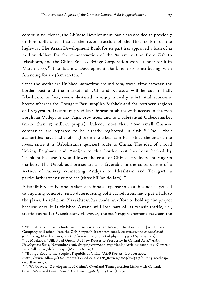community. Hence, the Chinese Development Bank has decided to provide 7 million dollars to finance the reconstruction of the first 18 km of the highway. The Asian Development Bank for its part has approved a loan of 32 million dollars for the reconstruction of the 80 km section from Osh to Irkeshtam, and the China Road & Bridge Corporation won a tender for it in March 2007. 43 The Islamic Development Bank is also contributing with financing for a  $44$  km stretch.<sup>44</sup>

Once the works are finished, sometime around 2010, travel time between the border post and the markets of Osh and Karasuu will be cut in half. Irkeshtam, in fact, seems destined to enjoy a really substantial economic boom: whereas the Torugart Pass supplies Bishkek and the northern regions of Kyrgyzstan, Irkeshtam provides Chinese products with access to the rich Ferghana Valley, to the Tajik provinces, and to a substantial Uzbek market (more than 25 million people). Indeed, more than 2,000 small Chinese companies are reported to be already registered in Osh. 45 The Uzbek authorities have had their sights on the Irkeshtam Pass since the end of the 1990s, since it is Uzbekistan's quickest route to China. The idea of a road linking Ferghana and Andijan to this border post has been backed by Tashkent because it would lower the costs of Chinese products entering its markets. The Uzbek authorities are also favorable to the construction of a section of railway connecting Andijan to Irkeshtam and Torugart, a particularly expensive project (three billion dollars).46

A feasibility study, undertaken at China's expense in 2001, has not as yet led to anything concrete, since deteriorating political relations have put a halt to the plans. In addition, Kazakhstan has made an effort to hold up the project because once it is finished Astana will lose part of its transit traffic, i.e., traffic bound for Uzbekistan. However, the 2006 rapprochement between the

<u>.</u>

<sup>43</sup> "Kitaiskaia kompaniia budet reabilitirovat' trassu Osh-Sarytash-Irkeshtam," [A Chinese Company will rehabilitate the Osh-Sarytash-Irkeshtam road], *Informatsionno-analiticheskii*  <sup>44</sup> T. Maekawa. "Silk Road Opens Up New Routes to Prosperity in Central Asia," Asian

*Development Bank*, November 2006, <http://www.adb.org/Media/Articles/2006/11091-Central-Asia-Silk-Road/default.asp> (March 06 2007).

<sup>45 &</sup>quot;Bumpy Road to the People's Republic of China,"*ADB Review*, October 2005, <http://www.adb.org/Documents/Periodicals/ADB\_Review/2005/vol37-5/bumpy-road.asp> (April 04 2007).

<sup>&</sup>lt;sup>46</sup> J. W. Garver. "Development of China's Overland Transportation Links with Central, South-West and South Asia," *The China Quaterly*, 185 (2006), p. 3.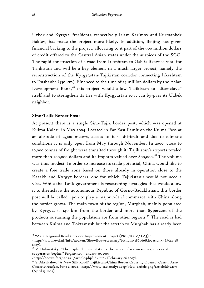Uzbek and Kyrgyz Presidents, respectively Islam Karimov and Kurmanbek Bakiev, has made the project more likely. In addition, Beijing has given financial backing to the project, allocating to it part of the 900 million dollars of credit offered to the Central Asian states under the auspices of the SCO. The rapid construction of a road from Irkeshtam to Osh is likewise vital for Tajikistan and will be a key element in a much larger project, namely the reconstruction of the Kyrgyzstan-Tajikistan corridor connecting Irkeshtam to Dushanbe (550 km). Financed to the tune of 25 million dollars by the Asian Development Bank,<sup>47</sup> this project would allow Tajikistan to "disenclave" itself and to strengthen its ties with Kyrgyzstan so it can by-pass its Uzbek neighbor.

#### Sino-Tajik Border Posts

At present there is a single Sino-Tajik border post, which was opened at Kulma-Kalasu in May 2004. Located in Far East Pamir on the Kulma Pass at an altitude of 4,300 meters, access to it is difficult and due to climatic conditions it is only open from May through November. In 2006, close to 10,000 tonnes of freight were transited through it: Tajikistan's exports totaled more than 200,000 dollars and its imports valued over 800,000.48 The volume was thus modest. In order to increase its trade potential, China would like to create a free trade zone based on those already in operation close to the Kazakh and Kyrgyz borders, one for which Tajikistanis would not need a visa. While the Tajik government is researching strategies that would allow it to disenclave the autonomous Republic of Gorno-Badakhshan, this border post will be called upon to play a major role if commerce with China along the border grows. The main town of the region, Murghab, mainly populated by Kyrgyz, is 140 km from the border and more than 85 percent of the products sustaining the population are from other regions.<sup>49</sup> The road is bad between Kulma and Toktamysh but the stretch to Murghab has already been

<sup>47 &</sup>quot;Azië: Regional Road Corridor Improvement Project (PRC/KGZ/TAJ),"

<sup>&</sup>lt;http://www.evd.nl/info/zoeken/ShowBouwsteen.asp?bstnum=186966&location=> (May 28 2007).

 $48$  V. Dubovitsky. "The Tajik-Chinese relations: the period of wariness over, the era of cooperation begins," *Ferghana.ru*, January 30, 2007,

<sup>&</sup>lt;http://enews.ferghana.ru/article.php?id=1810> (February 06 2007). 49 S. Aksakalov. "A New Silk Road? Tajikistan-China Border Crossing Opens," *Central Asia-Caucasus Analyst*, June 2, 2004, <http://www.cacianalyst.org/view\_article.php?articleid=2417> (April 15 2007).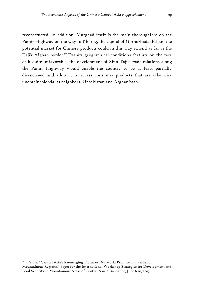reconstructed. In addition, Murghad itself is the main thoroughfare on the Pamir Highway on the way to Khorog, the capital of Gorno-Badakhshan: the potential market for Chinese products could in this way extend as far as the Tajik-Afghan border.<sup>50</sup> Despite geographical conditions that are on the face of it quite unfavorable, the development of Sino-Tajik trade relations along the Pamir Highway would enable the country to be at least partially disenclaved and allow it to access consumer products that are otherwise unobtainable via its neighbors, Uzbekistan and Afghanistan.

<u>.</u>

<sup>&</sup>lt;sup>50</sup> F. Starr. "Central Asia's Reemerging Transport Network: Promise and Perils for Mountainous Regions," Paper for the International Workshop Strategies for Development and Food Security in Mountainous Areas of Central Asia," Dushanbe, June 6-10, 2005.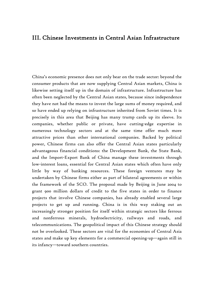# III. Chinese Investments in Central Asian Infrastructure

China's economic presence does not only bear on the trade sector: beyond the consumer products that are now supplying Central Asian markets, China is likewise setting itself up in the domain of infrastructure. Infrastructure has often been neglected by the Central Asian states, because since independence they have not had the means to invest the large sums of money required, and so have ended up relying on infrastructure inherited from Soviet times. It is precisely in this area that Beijing has many trump cards up its sleeve. Its companies, whether public or private, have cutting-edge expertise in numerous technology sectors and at the same time offer much more attractive prices than other international companies. Backed by political power, Chinese firms can also offer the Central Asian states particularly advantageous financial conditions: the Development Bank, the State Bank, and the Import-Export Bank of China manage these investments through low-interest loans, essential for Central Asian states which often have only little by way of banking resources. These foreign ventures may be undertaken by Chinese firms either as part of bilateral agreements or within the framework of the SCO. The proposal made by Beijing in June 2004 to grant 900 million dollars of credit to the five states in order to finance projects that involve Chinese companies, has already enabled several large projects to get up and running. China is in this way staking out an increasingly stronger position for itself within strategic sectors like ferrous and nonferrous minerals, hydroelectricity, railways and roads, and telecommunications. The geopolitical impact of this Chinese strategy should not be overlooked. These sectors are vital for the economies of Central Asia states and make up key elements for a commercial opening-up—again still in its infancy—toward southern countries.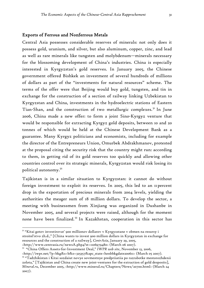#### Exports of Ferrous and Nonferrous Metals

Central Asia possesses considerable reserves of minerals: not only does it possess gold, uranium, and silver, but also aluminum, copper, zinc, and lead as well as rare minerals like tungsten and molybdenum—minerals necessary for the blossoming development of China's industries. China is especially interested in Kyrgyzstan's gold reserves. In January 2005, the Chinese government offered Bishkek an investment of several hundreds of millions of dollars as part of the "investments for natural resources" scheme. The terms of the offer were that Beijing would buy gold, tungsten, and tin in exchange for the construction of a section of railway linking Uzbekistan to Kyrgyzstan and China, investments in the hydroelectric stations of Eastern Tian-Shan, and the construction of two metallurgic complexes.<sup>51</sup> In June 2006, China made a new offer: to form a joint Sino-Kyrgyz venture that would be responsible for extracting Kyrgyz gold deposits, between 10 and 20 tonnes of which would be held at the Chinese Development Bank as a guarantee. Many Kyrgyz politicians and economists, including for example the director of the Entrepreneurs Union, Omurbek Abdrakhmanov, protested at the proposal citing the security risk that the country might run: according to them, in getting rid of its gold reserves too quickly and allowing other countries control over its strategic minerals, Kyrgyzstan would risk losing its political autonomy.52

Tajikistan is in a similar situation to Kyrgyzstan: it cannot do without foreign investment to exploit its reserves. In 2005, this led to an 11 percent drop in the exportation of precious minerals from 2004 levels, yielding the authorities the meager sum of 18 million dollars. To develop the sector, a meeting with businessmen from Xinjiang was organized in Dushanbe in November 2005, and several projects were raised, although for the moment none have been finalized.53 In Kazakhstan, cooperation in this sector has

<u>.</u>

<http://iwpr.net/?p=bkg&s=b&o=325357&apc\_state=henbbkgdate200611> (March 05 2007).  $53$  "Tadzhikistan i Kitai sozdaiut novye sovmestnye predpriiatiia po razrabotke mestorozhdenii

<sup>51</sup> "Kitai gotov investirovat' 900 millionov dollarov v Kyrgyzstane v obmen na resursy i stroitel'stvo zh.d.," [China wants to invest 900 million dollars in Kyrgyzstan in exchange for resources and the construction of a railway], *CentrAsia*, January 29, 2005,

<sup>&</sup>lt;http://www.centrasia.ru/newsA.php4?st=1106979480> (March 06 2007). 52 "China Offers Assets-for-Investment Deal," *IWPR web site*, November 13, 2006,

zolota," [Tajikistan and China create new joint-ventures for the extraction of gold desposits], *Mineral.ru*, December 2005, <http://www.mineral.ru/Chapters/News/20700.html> (March 24 2007).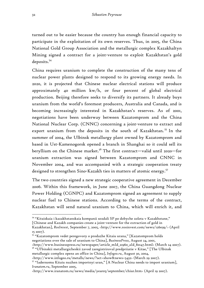turned out to be easier because the country has enough financial capacity to participate in the exploitation of its own reserves. Thus, in 2005, the China National Gold Group Association and the metallurgic complex Kazakhaltyn Mining signed a contract for a joint-venture to exploit Kazakhstan's gold deposits.54

China requires uranium to complete the construction of the many tens of nuclear power plants designed to respond to its growing energy needs. In 2020, it is projected that Chinese nuclear electrical stations will produce approximately 40 million kw/h, or four percent of global electrical production. Beijing therefore seeks to diversify its partners. It already buys uranium from the world's foremost producers, Australia and Canada, and is becoming increasingly interested in Kazakhstan's reserves. As of 2001, negotiations have been underway between Kazatomprom and the China National Nuclear Corp. (CNNC) concerning a joint-venture to extract and export uranium from the deposits in the south of Kazakhstan.<sup>55</sup> In the summer of 2004, the Ulbinsk metallurgy plant owned by Kazatomprom and based in Ust-Kamenogorsk opened a branch in Shanghai so it could sell its beryllium on the Chinese market.<sup>56</sup> The first contract—valid until 2020—for uranium extraction was signed between Kazatomprom and CNNC in November 2004, and was accompanied with a strategic cooperation treaty designed to strengthen Sino-Kazakh ties in matters of atomic energy.<sup>57</sup>

The two countries signed a new strategic cooperative agreement in December 2006. Within this framework, in June 2007, the China Guangdong Nuclear Power Holding (CGNPC) and Kazatomprom signed an agreement to supply nuclear fuel to Chinese stations. According to the terms of the contract, Kazakhstan will send natural uranium to China, which will enrich it, and

[Chinese and Kazakh companies create a joint-venture for the extraction of gold in

metallurgic complex opens an office in China], *Infogeo.ru*, August 30, 2004,

<sup>54</sup> "Kitaiskaia i kazakhstanskaia kompanii sozdali SP po dobyche zolota v Kazakhstane,"

Kazakhstan], *RosInvest*, September 7, 2005, <http://www.rosinvest.com/news/126039/> (April 15 2007).

<sup>55 &</sup>quot;Kazatomprom vedet peregovory o prodazhe Kitaiu urana," [Kazatomprom holds negotiations over the sale of uranium to China], *BusinessPress*, August 24, 2001,

<sup>&</sup>lt;http://www.businesspress.ru/newspaper/article\_mId\_21960\_aId\_80147.html> (March 24 2007). <sup>56</sup> "Ul'binskii metallurgicheskii zavod zaregistriroval predpriiatie v Kitae," [The Ulbinsk

<sup>&</sup>lt;http://www.infogeo.ru/metalls/news/?act=show&news=5432> (March 29 2007). 57 "Iadernomu Kitaiu nuzhen importnyi uran," [A Nuclear China needs to import uranium], *Iranatom.ru*, September 2005,

<sup>&</sup>lt;http://www.iranatom.ru/news/media/year05/september/chiur.htm> (April 19 2007).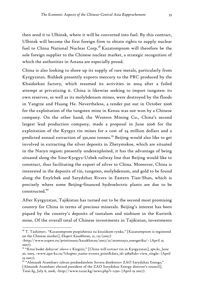then send it to Ulbinsk, where it will be converted into fuel. By this contract, Ulbinsk will become the first foreign firm to obtain rights to supply nuclear fuel to China National Nuclear Corp.<sup>58</sup> Kazatomprom will therefore be the sole foreign supplier to the Chinese nuclear market, a strategic recognition of which the authorities in Astana are especially proud.

China is also looking to shore up its supply of rare metals, particularly from Kyrgyzstan. Bishkek presently exports mercury to the PRC produced by the Khaidarkan factory, which resumed its activities in 2004 after a failed attempt at privatizing it. China is likewise seeking to import tungsten: its own reserves, as well as its molybdenum mines, were destroyed by the floods in Yangtze and Huang He. Nevertheless, a tender put out in October 2006 for the exploitation of the tungsten mine in Kensu was not won by a Chinese company. On the other hand, the Western Mining Co., China's second largest lead production company, made a proposal in June 2006 for the exploitation of the Kyrgyz tin mines for a cost of 24 million dollars and a predicted annual extraction of 330,000 tonnes.59 Beijing would also like to get involved in extracting the silver deposits in Zhetymskoe, which are situated in the Naryn region: presently underexploited, it has the advantage of being situated along the Sino-Kyrgyz-Uzbek railway line that Beijing would like to construct, thus facilitating the export of silver to China. Moreover, China is interested in the deposits of tin, tungsten, molybdenum, and gold to be found along the Enylchek and Sarydzhaz Rivers in Eastern Tian-Shan, which is precisely where some Beijing-financed hydroelectric plants are due to be constructed<sup>60</sup>

After Kyrgyzstan, Tajikistan has turned out to be the second most promising country for China in terms of precious minerals. Beijing's interest has been piqued by the country's deposits of tantalum and niobium in the Kuristik mine. Of the overall total of Chinese investments in Tajikistan, investments

<u>.</u>

 $58$  T. Tashimov. "Kazatomprom propishetsia na kitaiskom rynke," [Kazatomprom is registered on the Chinese market], *Ekspert Kazakhstan*, 21, 123 (2007)

<sup>&</sup>lt;http://www.expert.ru/printissues/kazakhstan/2007/21/atomnaya\_energetika/> (April 25 2007).

<sup>59 &</sup>quot;Kitai budet dobyvat' olovo v Kirgizii," [China will extract tin in Kyrgyzstan], *apn.kz*, June 30, 2005, <www.apn-kz.ru/?chapter\_name=events\_print&data\_id=3389&do=view\_single> (April 19 2007).

<sup>60 &</sup>quot;Almazek Atambaev izbran predsedatelem Soveta direktorov ZAO Sarydzhaz Energo," [Almazek Atambaev elected president of the ZAO Sarydzhaz Energy director's council], *Tatar.kg*, July 6, 2006, <http://www.tazar.kg/news.php?i=1230> (April 19 2007).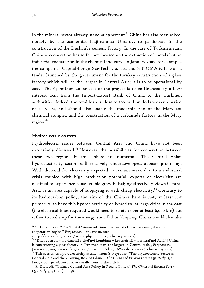in the mineral sector already stand at 29 percent.<sup>61</sup> China has also been asked, notably by the economist Hajimahmat Umarov, to participate in the construction of the Dushanbe cement factory. In the case of Turkmenistan, Chinese cooperation has so far not focused on the extraction of metals but on industrial cooperation in the chemical industry. In January 2007, for example, the companies Capital-Lonqji Sci-Tech Co. Ltd and SINOMASCH won a tender launched by the government for the turnkey construction of a glass factory which will be the largest in Central Asia; it is to be operational by 2009. The 67 million dollar cost of the project is to be financed by a lowinterest loan from the Import-Export Bank of China to the Turkmen authorities. Indeed, the total loan is close to 300 million dollars over a period of 20 years, and should also enable the modernization of the Maryazot chemical complex and the construction of a carbamide factory in the Mary  $rezion.<sup>62</sup>$ 

#### Hydroelectric System

 $\overline{a}$ 

Hydroelectric issues between Central Asia and China have not been extensively discussed.<sup>63</sup> However, the possibilities for cooperation between these two regions in this sphere are numerous. The Central Asian hydroelectricity sector, still relatively underdeveloped, appears promising. With demand for electricity expected to remain weak due to a industrial crisis coupled with high production potential, exports of electricity are destined to experience considerable growth. Beijing effectively views Central Asia as an area capable of supplying it with cheap electricity.<sup>64</sup> Contrary to its hydrocarbon policy, the aim of the Chinese here is not, at least not primarily, to have this hydroelectricity delivered to its large cities in the east (the electrical lines required would need to stretch over at least 6,000 km) but rather to make up for the energy shortfall in Xinjiang. China would also like

 $61$  V. Dubovitsky. "The Tajik-Chinese relations: the period of wariness over, the era of cooperation begins," *Ferghana.ru*, January 30, 2007,

<sup>&</sup>lt;http://enews.ferghana.ru/article.php?id=1810> (February 25 2007).

 $62$  "Kitai postroit v Turkmenii stekol'nyi kombinat – krupneishii v Tsentral'noi Azii," [China is constructing a glass factory in Turkmenistan, the largest in Central Asia], *Ferghana.ru*, January 31, 2007, <www.ferghana.ru/news.php?id=4948&mode=snews> (February 25 2007).<br><sup>63</sup> This section on hydroelectricity is taken from S. Peyrouse. "The Hydroelectric Sector in

Central Asia and the Growing Role of China," *The China and Eurasia Forum Quarterly*, 5, 2 (2007), pp. 131-148. For further details, consult the article.

<sup>64</sup> R. Dwivedi. "China's Central Asia Policy in Recent Times," *The China and Eurasia Forum Quarterly* 4, 4 (2006), p. 158.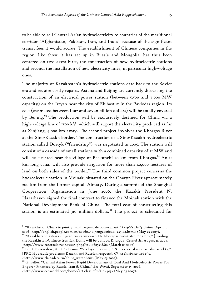to be able to sell Central Asian hydroelectricity to countries of the meridional corridor (Afghanistan, Pakistan, Iran, and India) because of the significant transit fees it would accrue. The establishment of Chinese companies in the region, like those it has set up in Russia and Mongolia, has thus been centered on two axes: First, the construction of new hydroelectric stations and second, the installation of new electricity lines, in particular high-voltage ones.

The majority of Kazakhstan's hydroelectric stations date back to the Soviet era and require costly repairs. Astana and Beijing are currently discussing the construction of an electrical power station (between 5,500 and 7,000 MW capacity) on the Irtysh near the city of Ekibastuz in the Pavlodar region. Its cost (estimated between four and seven billion dollars) will be totally covered by Beijing.<sup>65</sup> The production will be exclusively destined for China via a high-voltage line of 1500 kV, which will export the electricity produced as far as Xinjiang, 4,000 km away. The second project involves the Khorgos River at the Sino-Kazakh border. The construction of a Sino-Kazakh hydroelectric station called Dostyk ("friendship") was negotiated in 2005. The station will consist of a cascade of small stations with a combined capacity of 21 MW and will be situated near the village of Baskunchi 20 km from Khorgos.<sup>66</sup> An II km long canal will also provide irrigation for more than 40,000 hectares of land on both sides of the border.<sup>67</sup> The third common project concerns the hydroelectric station in Moinak, situated on the Charyn River approximately 200 km from the former capital, Almaty. During a summit of the Shanghai Cooperation Organisation in June 2006, the Kazakh President N. Nazarbayev signed the final contract to finance the Moinak station with the National Development Bank of China. The total cost of constructing this station is an estimated 310 million dollars.<sup>68</sup> The project is scheduled for

<u>.</u>

<sup>65 &</sup>quot;Kazakhstan, China to jointly build large-scale power plant," *People's Daily Online*, April 1, 2006 <http://english.people.com.cn/200604/01/eng20060401\_255104.html> (May 25 2007).

<sup>66 &</sup>quot;Kazakhstano-kitaiskuiu granitsu razmyvaet. Na Khorgose budut stroit' damby," [Eroding the Kazakhstan-Chinese frontier. Dams will be built on Khorgos] *CentrAsia*, August 11, 2003, <http://www.centrasia.ru/newsA.php4?st=1060553880> (March 05 2007).

<sup>67</sup> G. D. Bessarabov, A. D. Sobianin. "Vodnye problemy KNP: kazakhskii i rossiiskii aspekty," [PRC Hydraulic problems: Kazakh and Russian Aspects], *China databases web site*,

 $\frac{1}{68}$  (http://www.chinadata.ru/china\_water.htm> (May 03 2007).<br><sup>68</sup> G. Feller. "Central Asian Power Rapid Development of Coal And Hydroelectric Power For Export - Financed by Russia, Iran & China," *Eco World*, September 25, 2006,

<sup>&</sup>lt;http://www.ecoworld.com/home/articles2.cfm?tid=403> (May 03 2007).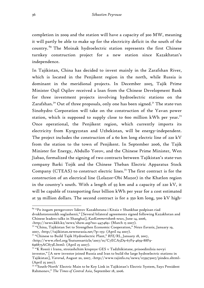completion in 2009 and the station will have a capacity of 300 MW, meaning it will partly be able to make up for the electricity deficit in the south of the country. 69 The Moinak hydroelectric station represents the first Chinese turnkey construction project for a new station since Kazakhstan's independence.

In Tajikistan, China has decided to invest mainly in the Zarafshan River, which is located in the Penjikent region in the north, while Russia is dominant in the meridional projects. In December 2005, Tajik Prime Minister Oqil Oqilov received a loan from the Chinese Development Bank for three investment projects involving hydroelectric stations on the Zarafshan.<sup>70</sup> Out of three proposals, only one has been signed.<sup>71</sup> The state-run Sinohydro Corporation will take on the construction of the Yavan power station, which is supposed to supply close to 600 million kWh per year.<sup>72</sup> Once operational, the Penjikent region, which currently imports its electricity from Kyrgyzstan and Uzbekistan, will be energy-independent. The project includes the construction of a 60 km long electric line of 220 kV from the station to the town of Penjikent. In September 2006, the Tajik Minister for Energy, Abdullo Yorov, and the Chinese Prime Minister, Wen Jiabao, formalized the signing of two contracts between Tajikistan's state-run company Barki Tojik and the Chinese Theban Electric Apparatus Stock Company (CTEAS) to construct electric lines.<sup>73</sup> The first contract is for the construction of an electrical line (Lolazor-Obi Mazor) in the Khatlon region in the country's south. With a length of 93 km and a capacity of 220 kV, it will be capable of transporting four billion kWh per year for a cost estimated at 59 million dollars. The second contract is for a 350 km long, 500 kV high-

2007, <http://tajikistan.neweurasia.net/?p=155> (April 04 2007). 71 "Chinese to Build Tajik Hydroelectric Plant," *RFE/RL*, January 18, 2007,

696875AC873E.html> (April 25 2007).

<sup>69 &</sup>quot;Po itogam peregovorov liderov Kazakhstana i Kitaia v Shankhae podpisan riad dvukhstoronnikh soglashenii," [Several bilateral agreements signed following Kazakhstan and Chinese leaders talks in Shanghai], *KazKommertsbank news*, June 14, 2006,

<sup>&</sup>lt;http://news.kkb.kz/news/show.asp?no=447469> (March 15 2007)*.* 70 "China, Tajikistan Set to Strengthen Economic Cooperation," *News Eurasia*, January 19,

<sup>&</sup>lt;http://www.rferl.org/featuresarticle/2007/01/C7ECA5D9-67F9-4659-88F9-

<sup>72 &</sup>quot;K Rossii i Iranu, stroiashchim krupnye GES v Tadzhikistane, prisoedinilsia novyi investor," [A new investor joined Russia and Iran to build the large hydroelectric stations in Tajikistan], *Varorud*, August 20, 2007, <http://www.tajinfo.ru/news/1153973007/pindex.shtml> (April 25 2007).

<sup>73 &</sup>quot;'South-North' Electric Main to be Key Link in Tajikistan's Electric System, Says President Rahmonov," *The Times of Central Asia*, September 18, 2006.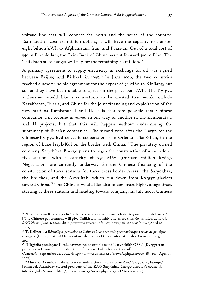voltage line that will connect the north and the south of the country. Estimated to cost 281 million dollars, it will have the capacity to transfer eight billion kWh to Afghanistan, Iran, and Pakistan. Out of a total cost of 340 million dollars, the Exim Bank of China has put forward 300 million. The Tajikistan state budget will pay for the remaining 40 million.<sup>74</sup>

A primary agreement to supply electricity in exchange for oil was signed between Beijing and Bishkek in 1995.<sup>75</sup> In June 2006, the two countries reached a new principle agreement for the export of 50 MW to Xinjiang, but so far they have been unable to agree on the price per kWh. The Kyrgyz authorities would like a consortium to be created that would include Kazakhstan, Russia, and China for the joint financing and exploitation of the new stations Kambarata I and II. It is therefore possible that Chinese companies will become involved in one way or another in the Kambarata I and II projects, but that this will happen without undermining the supremacy of Russian companies. The second zone after the Naryn for the Chinese-Kyrgyz hydroelectric cooperation is in Oriental Tian-Shan, in the region of Lake Issyk-Kul on the border with China.<sup>76</sup> The privately owned company Sarydzhaz-Energo plans to begin the construction of a cascade of five stations with a capacity of 750 MW (thirteen million kWh). Negotiations are currently underway for the Chinese financing of the construction of three stations for three cross-border rivers—the Sarydzhaz, the Enilchek, and the Akshiirak—which run down from Kyrgyz glaciers toward China.77 The Chinese would like also to construct high-voltage lines, starting at these stations and heading toward Xinjiang. In July 2006, Chinese

1

<sup>74 &</sup>quot;Pravitel'stvo Kitaia vydelit Tadzhikistanu v seredine iunia bolee 603 millionov dollarov," [The Chinese government will give Tajikistan, in mid-June, more than 603 million dollars], *SNG News*, June 5, 2006, <http://www.cawater-info.net/news/06-2006/05.htm> (April 25 2007).

<sup>75</sup> T. Kellner. *La République populaire de Chine et l'Asie centrale post-soviétique : étude de politique étrangère* (Ph.D., Institut Universitaire de Hautes Études Internationales, Genève, 2004), p. 462.

 $7^6$  "Kirgiziia predlagaet Kitaiu sovmestno dostroit' kaskad Narynskikh GES," [Kyrgyzstan proposes to China joint construction of Naryn Hydroelectric Cascad]

*CentrAsia*, September 22, 2004, <http://www.centrasia.ru/newsA.php4?st=1095883140> (April 11 2007).

<sup>77 &</sup>quot;Almazek Atambaev izbran predsedatelem Soveta direktorov ZAO Sarydzhaz Energo," [Almazek Atambaev elected president of the ZAO Sarydzhaz Energo director's council], *tatar.kg*, July 6, 2006, <http://www.tazar.kg/news.php?i=1230> (March 20 2007).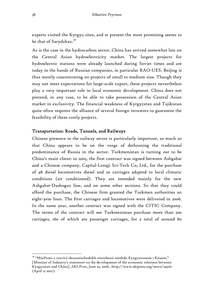experts visited the Kyrgyz sites, and at present the most promising seems to be that of Sarydzhaz.78

As is the case in the hydrocarbon sector, China has arrived somewhat late on the Central Asian hydroelectricity market. The largest projects for hydroelectric stations were already launched during Soviet times and are today in the hands of Russian companies, in particular RAO-UES. Beijing is thus mostly concentrating on projects of small to medium size. Though they may not meet expectations for large-scale export, these projects nevertheless play a very important role in local economic development. China does not pretend, in any case, to be able to take possession of the Central Asian market in exclusivity. The financial weakness of Kyrgyzstan and Tajikistan quite often requires the alliance of several foreign investors to guarantee the feasibility of these costly projects.

## Transportation: Roads, Tunnels, and Railways

Chinese presence in the railway sector is particularly important, so much so that China appears to be on the verge of dethroning the traditional predominance of Russia in the sector. Turkmenistan is turning out to be China's main client: in 2005, the first contract was signed between Ashgabat and a Chinese company, Capital-Lonqji Sci-Tech Co, Ltd., for the purchase of 48 diesel locomotives diesel and 50 carriages adapted to local climatic conditions (air conditioned). They are intended mainly for the new Ashgabat-Dashoguz line, and on some other sections. So that they could afford the purchase, the Chinese firm granted the Turkmen authorities an eight-year loan. The first carriages and locomotives were delivered in 2006. In the same year, another contract was signed with the CITIC Company. The terms of the contract will see Turkmenistan purchase more than 200 carriages, 160 of which are passenger carriages, for a total of around 80

<sup>78 &</sup>quot;MinProm o razvitii ekonomicheskikh otnoshenii mezhdu Kyrgyzstanom i Kitaem," [Minister of Industry's statement on the development of the economic relations between Kyrgyzstan and China], *AKI-Press*, June 23, 2006, <http://www.akipress.org/news/29316> (April 15 2007).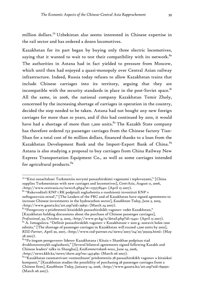million dollars.79 Uzbekistan also seems interested in Chinese expertise in the rail sector and has ordered a dozen locomotives.

Kazakhstan for its part began by buying only three electric locomotives, saying that it wanted to wait to test their compatibility with its network.<sup>80</sup> The authorities in Astana had in fact yielded to pressure from Moscow, which until then had enjoyed a quasi-monopoly over Central Asian railway infrastructure. Indeed, Russia today refuses to allow Kazakhstan trains that include Chinese carriages into its territory, arguing that they are incompatible with the security standards in place in the post-Soviet space. $81$ All the same, in 2006, the national company Kazakhstan Temir Zholy, concerned by the increasing shortage of carriages in operation in the country, decided the step needed to be taken. Astana had not bought any new foreign carriages for more than 10 years, and if this had continued by 2010, it would have had a shortage of more than 1,200 units.<sup>82</sup> The Kazakh State company has therefore ordered 152 passenger carriages from the Chinese factory Tian-Shan for a total cost of 60 million dollars, financed thanks to a loan from the Kazakhstan Development Bank and the Import-Export Bank of China.<sup>83</sup> Astana is also studying a proposal to buy carriages from China Railway New Express Transportation Equipment Co., as well as some carriages intended for agricultural products.<sup>84</sup>

1

<sup>79</sup> "Kitai osnachshaet Turkmeniiu novymi passazhirskimi vagonami i teplovozami," [China supplies Turkmenistan with new carriages and locomotives], *CentrAsia*, August 11, 2006, <http://www.centrasia.ru/newsA.php4?st=1155278340> (April 15 2007). 80 "Rukovoditeli KNP i RK podpisali soglasheniia o rasshirenii investitsii KNP v

neftegazovuiu otrasl'," [The Leaders of the PRC and of Kazakhstan have signed agreements to increase Chinese investments in the hydrocarbon sector], *Kazakhstan Today*, June 3, 2003, <http://www.gazeta.kz/art.asp?aid=29631> (March 24 2007).

<sup>81</sup> "Peregovory o priobretenii kitaiskikh passazhirskikh vagonov vedet Kazakhstan," [Kazakhstan holding discussions about the purchase of Chinese passenger carriages], *Professional*, 93, October 9, 2005, <http://www.pr.kg/n/detail.php?id=15431> (April 15 2007).

 $82$  A. Ismagulova. "Defitsit passazhirskikh vagonov v Kazakhstane v 2010 g. sostavit bolee 1200 edinits," [The shortage of passenger carriages in Kazakhstan will exceed 1,200 units by 2010], *RDZ-Partner*, April 20, 2007, <http://www.rzd-partner.ru/news/2007/04/20/303219.html> (May 28 2007).

<sup>83 &</sup>quot;Po itogam peregovorov liderov Kazakhstana i Kitaia v Shankhae podpisan riad dvukhstoronnykh soglashenii," [Several bilateral agreements signed following Kazakh and Chinese leaders' talks in Shanghai], *KazKommertsbank news*, June 14, 2006,

<sup>&</sup>lt;http://news.kkb.kz/news/show.asp?no=447469> (March 06 2007).

<sup>84</sup> "Kazakhstan rassmatrivaet vozmozhnost' priobreteniia 38 passazhirskikh vagonov u kitaiskoi kompanii," [Kazakhstan studies the possibility of purchasing 38 passenger carriages from a Chinese firm], *Kazakhstan Today*, January 14, 2006, <http://www.gazeta.kz/art.asp?aid=69950> (March 06 2007).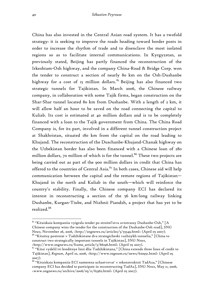China has also invested in the Central Asian road system. It has a twofold strategy: it is seeking to improve the roads heading toward border posts in order to increase the rhythm of trade and to disenclave the most isolated regions so as to facilitate internal communications. In Kyrgyzstan, as previously stated, Beijing has partly financed the reconstruction of the Irkeshtam-Osh highway, and the company China-Road & Bridge Corp. won the tender to construct a section of nearly 80 km on the Osh-Dushanbe highway for a cost of 15 million dollars.  $85$  Beijing has also financed two strategic tunnels for Tajikistan. In March 2006, the Chinese railway company, in collaboration with some Tajik firms, began construction on the Shar-Shar tunnel located 80 km from Dushanbe. With a length of 2 km, it will allow half an hour to be saved on the road connecting the capital to Kuliab. Its cost is estimated at 40 million dollars and is to be completely financed with a loan to the Tajik government from China. The China Road Company is, for its part, involved in a different tunnel construction project at Shakhristan, situated 180 km from the capital on the road leading to Khujand. The reconstruction of the Duschanbe-Khujand-Chanak highway on the Uzbekistan border has also been financed with a Chinese loan of 280 million dollars, 70 million of which is for the tunnel.<sup>86</sup> These two projects are being carried out as part of the 900 million dollars in credit that China has offered to the countries of Central Asia. $87$  In both cases, Chinese aid will help communication between the capital and the remote regions of Tajikistan— Khujand in the north and Kuliab in the south—which will reinforce the country's stability. Finally, the Chinese company ECI has declared its interest in reconstructing a section of the 56 km-long railway linking Dushanbe, Kurgan-Tiube, and Nizhnii Piandzh, a project that has yet to be realized.<sup>88</sup>

construct two strategically important tunnels in Tajikistan], *SNG News*, <http://www.sngnews.ru/frame\_article/5/66196.html> (April 05 2007).

*<sup>85</sup>* "Kitaiskaia kompaniia vyigrala tender po stroitel'stvu avtotrassy Dushanbe-Osh," [A Chinese company wins the tender for the construction of the Dushanbe-Osh road], *SNG News*, November 26, 2006, <http://sngnews.ru/articles/5/55549.html> (April 05 2007). 86 "Kitaitsy postroiat v Tadzhikistane dva strategicheski vazhnykh tonnelia," [China to

 $87$  "Kitai vydelil tri kreditnye linii dlia Tadzhikistana," [China extends three lines of credit to Tajikistan], *Regnum*, April 10, 2006, <http://www.regnum.ru/news/620951.html> (April 05 2007).

 $88$  "Kitaiskaia kompaniia ECI namerena uchastvovat' v rekonstruktsii TadAza," [Chinese company ECI has decided to participate in reconstructing TadAz], *SNG News*, May 11, 2006, <www.sngnews.ru/archive/2006/05/11/63362.html> (April 05 2007).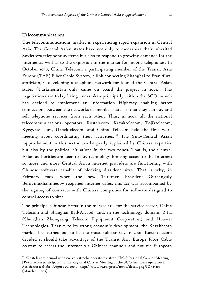#### Telecommunications

<u>.</u>

The telecommunications market is experiencing rapid expansion in Central Asia. The Central Asian states have not only to modernize their inherited Soviet-era telephone systems but also to respond to growing demands for the internet as well as to the explosion in the market for mobile telephones. In October 1998, China Telecom, a participating member of the Transit Asia Europe (TAE) Fiber Cable System, a link connecting Shanghai to Frankfurtam-Main, is developing a telephone network for four of the Central Asian states (Turkmenistan only came on board the project in 2004). The negotiations are today being undertaken principally within the SCO, which has decided to implement an Information Highway enabling better connections between the networks of member states so that they can buy and sell telephone services from each other. Thus, in 2005, all the national telecommunications operators, Rostelecom, Kazaktelecom, Tojiktelecom, Kyrgyztelecom, Uzbektelecom, and China Telecom held the first work meeting about coordinating their activities. <sup>89</sup> The Sino-Central Asian rapprochement in this sector can be partly explained by Chinese expertise but also by the political situations in the two zones. That is, the Central Asian authorities are keen to buy technology limiting access to the Internet; so more and more Central Asian internet providers are functioning with Chinese software capable of blocking dissident sites. That is why, in February 2007, when the new Turkmen President Gurbanguly Berdymukhammedov reopened internet cafes, this act was accompanied by the signing of contracts with Chinese companies for software designed to control access to sites.

The principal Chinese firms in the market are, for the service sector, China Telecom and Shanghai Bell-Alcatel, and, in the technology domain, ZTE (Shenzhen Zhongxing Telecom Equipment Corporation) and Huawei Technologies. Thanks to its strong economic development, the Kazakhstan market has turned out to be the most substantial. In 2001, Kazaktelecom decided it should take advantage of the Transit Asia Europe Fiber Cable System to access the Internet via Chinese channels and not via European

 $89$  "Rostelekom prinial uchastie vo vstreche operatorov stran ChOS Regional Carrier Meeting," [Rostelecom participated to the Regional Carrier Meeting of the SCO members operators], *Rostelecom web site*, August 25, 2005, <http://www.rt.ru/press/news/detail.php?ID=35207> (March 24 2007).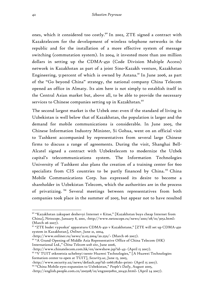ones, which it considered too costly.<sup>90</sup> In 2002, ZTE signed a contract with Kazaktelecom for the development of wireless telephone networks in the republic and for the installation of a more effective system of message switching (commutation system). In 2004, it invested more than 200 million dollars in setting up the CDMA-450 (Code Division Multiple Access) network in Kazakhstan as part of a joint Sino-Kazakh venture, Kazakhstan Engineering, 51 percent of which is owned by Astana.<sup>91</sup> In June 2006, as part of the "Go beyond China" strategy, the national company China Telecom opened an office in Almaty. Its aim here is not simply to establish itself in the Central Asian market but, above all, to be able to provide the necessary services to Chinese companies setting up in Kazakhstan.<sup>92</sup>

The second largest market is the Uzbek one: even if the standard of living in Uzbekistan is well below that of Kazakhstan, the population is larger and the demand for mobile communications is considerable. In June 2005, the Chinese Information Industry Minister, Si Gohua, went on an official visit to Tashkent accompanied by representatives from several large Chinese firms to discuss a range of agreements. During the visit, Shanghai Bell-Alcatel signed a contract with Uzbektelecom to modernize the Uzbek capital's telecommunications system. The Information Technologies University of Tashkent also plans the creation of a training center for 600 specialists from CIS countries to be partly financed by China.<sup>93</sup> China Mobile Communications Corp. has expressed its desire to become a shareholder in Uzbekistan Telecom, which the authorities are in the process of privatizing. 94 Several meetings between representatives from both companies took place in the summer of 2005, but appear not to have resulted

<sup>90 &</sup>quot;Kazakhstan zakupaet deshevyi Internet v Kitae," [Kazakhstan buys cheap Internet from China], *Netoscope*, January 8, 2001, <http://www.netoscope.ru/news/2001/08/01/3052.html> (March 06 2007).

<sup>91 &</sup>quot;ZTE budet vypuskat' apparaturu CDMA-450 v Kazakhstane," [ZTE will set up CDMA-450 system in Kazakhstan], *Onliner*, June 21, 2004,

 $\frac{\text{http://www.online.r.u/news/21.05.2004/20.25n/}}{$  (March 06 2007).

<sup>&</sup>lt;sup>92</sup> "A Grand Opening of Middle Asia Representative Office of China Telecom (HK) International Ltd.," *China Telecom web site*, June 2006,

<sup>&</sup>lt;http://www.chinatelecom.com.hk/en/newshow.jsp?id=43> (April 15 2007).

<sup>93 &</sup>quot;V TUIT otkroetsia uchebnyi tsentr Huawei Technologies," [A Huawei Technologies formation center to open at TUIT], *Security.uz*, June 15, 2005,

<sup>&</sup>lt;http://www.security.uz/news/default.asp?id=10667&do=print> (April 15 2007).

<sup>94 &</sup>quot;China Mobile eyes expansion to Uzbekistan," *People's Daily*, August 2005,

<sup>&</sup>lt;http://english.people.com.cn/200508/10/eng20050810\_201431.html> (April 24 2007).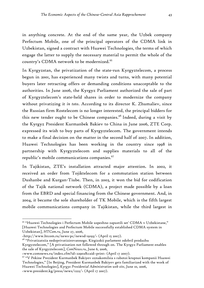in anything concrete. At the end of the same year, the Uzbek company Perfectum Mobile, one of the principal operators of the CDMA link in Uzbekistan, signed a contract with Huawei Technologies, the terms of which engage the latter to supply the necessary material to permit the whole of the country's CDMA network to be modernized.<sup>95</sup>

In Kyrgyzstan, the privatization of the state-run Kyrgyztelecom, a process begun in 2001, has experienced many twists and turns, with many potential buyers later retracting offers or demanding conditions unacceptable to the authorities. In June 2006, the Kyrgyz Parliament authorized the sale of part of Kyrgyztelecom's state-held shares in order to modernize the company without privatizing it *in toto*. According to its director K. Zhumaliev, since the Russian firm Rostelecom is no longer interested, the principal bidders for this new tender ought to be Chinese companies.<sup>96</sup> Indeed, during a visit by the Kyrgyz President Kurmanbek Bakiev to China in June 2006, ZTE Corp. expressed its wish to buy parts of Kyrgyztelecom. The government intends to make a final decision on the matter in the second half of 2007. In addition, Huawei Technologies has been working in the country since 1998 in partnership with Kyrgyztelecom and supplies materials to all of the republic's mobile communications companies.97

In Tajikistan, ZTE's installation attracted major attention. In 2002, it received an order from Tojiktelecom for a commutation station between Dushanbe and Kurgan-Tiube. Then, in 2003, it won the bid for codification of the Tajik national network (CDMA), a project made possible by a loan from the EBRD and special financing from the Chinese government. And, in 2004, it became the sole shareholder of TK Mobile, which is the fifth largest mobile communications company in Tajikistan, while the third largest in

Uzbekistan], *HTCom.ru*, June 27, 2006,

1

<sup>95 &</sup>quot;Huawei Technologies i Perfectum Mobile uspeshno zapustili set' CDMA v Uzbekistane," [Huawei Technologies and Perfectum Mobile successfully established CDMA system in

<sup>&</sup>lt;http://www.htcom.ru/news-pc/newsd-19193/> (April 15 2007).

<sup>96 &</sup>quot;Privatizatsiia nedoprivatizirovannogo. Kirgizskii parlament odobril prodazhu Kyrgyztelecom," [A privatisation not followed through on. The Kyrgyz Parliament enables the sale of Kyrgyztelecom], *ComNews.ru*, June 6, 2006,

<sup>&</sup>lt;www.comnews.ru/index.cfm?id=22902&caid=print> (April 17 2007). 97 "V Pekine Prezident Kurmanbek Bakiyev oznakomilsia s rabotoi krupnoi kompanii Huawei Technologies," [In Beijing, President Kurmanbek Bakiyev gets familiarized with the work of Huawei Technologies], *Kyrgyz Presidential Administration web site*, June 10, 2006, <www.president.kg/press/news/1222/> (April 17 2007).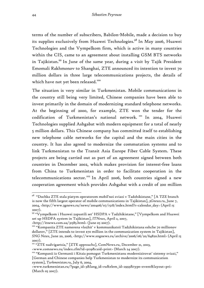terms of the number of subscribers, Babilon-Mobile, made a decision to buy its supplies exclusively from Huawei Technologies.<sup>98</sup> In May 2006, Huawei Technologies and the Vympelkom firm, which is active in many countries within the CIS, came to an agreement about installing GSM BTS networks in Tajikistan.99 In June of the same year, during a visit by Tajik President Emomali Rakhmonov to Shanghai, ZTE announced its intention to invest 70 million dollars in three large telecommunications projects, the details of which have not yet been released.<sup>100</sup>

The situation is very similar in Turkmenistan. Mobile communications in the country still being very limited, Chinese companies have been able to invest primarily in the domain of modernizing standard telephone networks. At the beginning of 2000, for example, ZTE won the tender for the codification of Turkmenistan's national network. 101 In 2004, Huawei Technologies supplied Ashgabat with modern equipment for a total of nearly 5 million dollars. This Chinese company has committed itself to establishing new telephone cable networks for the capital and the main cities in the country. It has also agreed to modernize the commutation systems and to link Turkmenistan to the Transit Asia Europe Fiber Cable System. These projects are being carried out as part of an agreement signed between both countries in December 2002, which makes provision for interest-free loans from China to Turkmenistan in order to facilitate cooperation in the telecommunications sector.<sup>102</sup> In April 2006, both countries signed a new cooperation agreement which provides Ashgabat with a credit of 200 million

*<sup>98</sup>* "Dochka ZTE stala piatym operatorom mobil'noi sviazi v Tadzhikistane," [A TZE branch is now the fifth largest operator of mobile communications in Tajikistan], *3Gnews.ru*, June 7, 2004, <http://www.3gnews.ru/news/200406/07/1518/index.html?r=calendar\_day> (April 15 2007).

<sup>99 &</sup>quot;Vympelkom i Huawei zapustili set' HSDPA v Tadzhikistane," [Vympelkom and Huawei set up HSDPA system in Tajikistan], *ITNews*, April 2, 2007,

<sup>&</sup>lt;http://itnews.com.ua/31585.html> (June 05 2007). 100 "Kompaniia ZTE namerena vlozhit' v kommunikatsii Tadzhikistana eshche 70 millionov dollarov," [ZTE intends to invest \$70 million in the communication system in Tajikistan], *SNG News*, June 20, 2006, <http://www.sngnews.ru/archive/2006/06/20/64820.html> (April 15 2007).

<sup>&</sup>lt;sup>101</sup> "ZTE nadvigaetsia," [ZTE approachs], ComNews.ru, December 21, 2003, <www.comnews.ru/index.cfm?id=9119&caid=print> (March 24 2007).

<sup>&</sup>lt;sup>102</sup> "Kompanii iz Germanii i Kitaia pomogut Turkmenistanu modernizirovat' sistemy sviazi," [German and Chinese companies help Turkmenistan to modernize its communication system], *Turkmenistan.ru*, July 6, 2004,

<sup>&</sup>lt;www.turkmenistan.ru/?page\_id=3&lang\_id=ru&elem\_id=2993&type=event&layout=pri> (March 05 2007).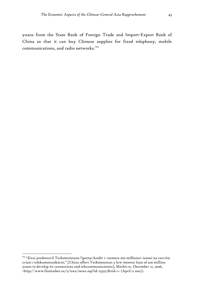yuans from the State Bank of Foreign Trade and Import-Export Bank of China so that it can buy Chinese supplies for fixed telephony, mobile communications, and radio networks.<sup>103</sup>

<u>.</u>

<sup>&</sup>lt;sup>103</sup> "Kitai predostavil Turkmenistanu l'gotnyi kredit v razmere 200 millionov iuanei na razvitie sviazi i telekommunikatsii," [China offers Turkmenistan a low-interest loan of 200 million yuans to develop its connections and telecommunications], *Market.ru*, December 17, 2006, <http://www.finmarket.ru/z/nws/news.asp?id=555517&rid=1> (April 11 2007).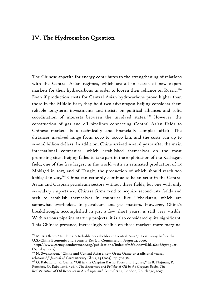# IV. The Hydrocarbon Question

The Chinese appetite for energy contributes to the strengthening of relations with the Central Asian regimes, which are all in search of new export markets for their hydrocarbons in order to loosen their reliance on Russia.<sup>104</sup> Even if production costs for Central Asian hydrocarbons prove higher than those in the Middle East, they hold two advantages: Beijing considers them reliable long-term investments and insists on political alliances and solid coordination of interests between the involved states.<sup>105</sup> However, the construction of gas and oil pipelines connecting Central Asian fields to Chinese markets is a technically and financially complex affair. The distances involved range from 3,000 to 10,000 km, and the costs run up to several billion dollars. In addition, China arrived several years after the main international companies, which established themselves on the most promising sites. Beijing failed to take part in the exploitation of the Kashagan field, one of the five largest in the world with an estimated production of 1.5 Mbbls/d in 2015, and of Tengiz, the production of which should reach 700  $kbbls/d$  in 2015.<sup>106</sup> China can certainly continue to be an actor in the Central Asian and Caspian petroleum sectors without these fields, but one with only secondary importance. Chinese firms tend to acquire second-rate fields and seek to establish themselves in countries like Uzbekistan, which are somewhat overlooked in petroleum and gas matters. However, China's breakthrough, accomplished in just a few short years, is still very visible. With various pipeline start-up projects, it is also considered quite significant. This Chinese presence, increasingly visible on those markets more marginal

<sup>&</sup>lt;sup>104</sup> M. B. Olcott. "Is China A Reliable Stakeholder in Central Asia?," Testimony before the U.S.-China Economic and Security Review Commission, August 4, 2006,

<sup>&</sup>lt;http://www.carnegieendowment.org/publications/index.cfm?fa=view&id=18606&prog=zr> (April 15, 2007).

<sup>&</sup>lt;sup>105</sup> N. Swanstrom. "China and Central Asia: a new Great Game or traditional vassal relations?," *Journal of Contemporary China*, 14 (2005), pp. 569-584.<br><sup>106</sup> G. Raballand, R. Gente. "Oil in the Caspian Basin: Facts and Figures," in B. Najman, R.

Pomfret, G. Raballand. (ed.), *The Economics and Politics of Oil in the Caspian Basin*. *The Redistribution of Oil Revenues in Azerbaijan and Central Asia*, London, Routledge, 2007.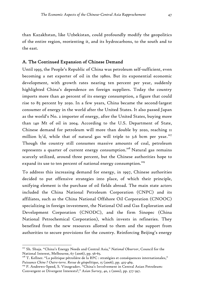than Kazakhstan, like Uzbekistan, could profoundly modify the geopolitics of the entire region, reorienting it, and its hydrocarbons, to the south and to the east.

# A. The Continued Expansion of Chinese Demand

Until 1993, the People's Republic of China was petroleum self-sufficient, even becoming a net exporter of oil in the 1980s. But its exponential economic development, with growth rates nearing ten percent per year, suddenly highlighted China's dependence on foreign suppliers. Today the country imports more than 40 percent of its energy consumption, a figure that could rise to 85 percent by 2030. In a few years, China became the second-largest consumer of energy in the world after the United States. It also passed Japan as the world's No. 2 importer of energy, after the United States, buying more than 140 Mt of oil in 2004. According to the U.S. Department of State, Chinese demand for petroleum will more than double by 2020, reaching 11 million  $b/d$ , while that of natural gas will triple to 3.6 bcm per year.<sup>107</sup> Though the country still consumes massive amounts of coal, petroleum represents a quarter of current energy consumption.<sup>108</sup> Natural gas remains scarcely utilized, around three percent, but the Chinese authorities hope to expand its use to ten percent of national energy consumption.<sup>109</sup>

To address this increasing demand for energy, in 1997, Chinese authorities decided to put offensive strategies into place, of which their principle, unifying element is the purchase of oil fields abroad. The main state actors included the China National Petroleum Corporation (CNPC) and its affiliates, such as the China National Offshore Oil Corporation (CNOOC) specializing in foreign investment, the National Oil and Gas Exploration and Development Corporation (CNODC), and the firm Sinopec (China National Petrochemical Corporation), which invests in refineries. They benefited from the new resources allotted to them and the support from authorities to secure provisions for the country. Reinforcing Beijing's energy

1

<sup>107</sup> Sh. Shuja. "China's Energy Needs and Central Asia," *National Observer*, Council for the National Interest, Melbourne, 67 (2006), pp. 56-65.

<sup>&</sup>lt;sup>108</sup> T. Kellner. "La politique pétrolière de la RPC : stratégies et conséquences internationales," *Puissance Chine ? Outre-terre. Revue de géopolitique*, 15 (2006), pp. 425-469. 109 P. Andrews-Speed, S. Vinogradov. "China's Involvement in Central Asian Petroleum:

Convergent or Divergent Interests?," *Asian Survey*, 40, 2 (2000), pp. 377-397.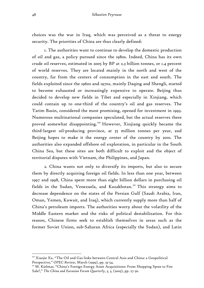choices was the war in Iraq, which was perceived as a threat to energy security. The priorities of China are thus clearly defined:

1. The authorities want to continue to develop the domestic production of oil and gas, a policy pursued since the 1980s. Indeed, China has its own crude oil reserves, estimated in 2005 by BP at 2.3 billion tonnes, or 1.4 percent of world reserves. They are located mainly in the north and west of the country, far from the centers of consumption in the east and south. The fields exploited since the 1960s and 1970s, mainly Daqing and Shengli, started to become exhausted or increasingly expensive to operate. Beijing thus decided to develop new fields in Tibet and especially in Xinjiang, which could contain up to one-third of the country's oil and gas reserves. The Tarim Basin, considered the most promising, opened for investment in 1993. Numerous multinational companies speculated, but the actual reserves there proved somewhat disappointing.<sup>110</sup> However, Xinjiang quickly became the third-largest oil-producing province, at 35 million tonnes per year, and Beijing hopes to make it the energy center of the country by 2010. The authorities also expanded offshore oil exploration, in particular in the South China Sea, but these sites are both difficult to exploit and the object of territorial disputes with Vietnam, the Philippines, and Japan.

2. China wants not only to diversify its imports, but also to secure them by directly acquiring foreign oil fields. In less than one year, between 1997 and 1998, China spent more than eight billion dollars in purchasing oil fields in the Sudan, Venezuela, and Kazakhstan.<sup>111</sup> This strategy aims to decrease dependence on the states of the Persian Gulf (Saudi Arabia, Iran, Oman, Yemen, Kuwait, and Iraq), which currently supply more than half of China's petroleum imports. The authorities worry about the volatility of the Middle Eastern market and the risks of political destabilization. For this reason, Chinese firms seek to establish themselves in areas such as the former Soviet Union, sub-Saharan Africa (especially the Sudan), and Latin

<sup>110</sup> Xiaojie Xu. "The Oil and Gas links between Central Asia and China: a Geopolitical Perspective," *OPEC Review*, March (1999), pp. 33-54.<br>"' M. Kielmas. "China's Foreign Energy Asset Acquisitions: From Shopping Spree to Fire

Sale?," *The China and Eurasian Forum Quarterly*, 3, 3, (2005), pp. 27-30.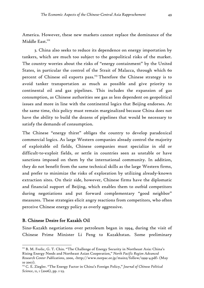America. However, these new markets cannot replace the dominance of the Middle East.<sup>112</sup>

3. China also seeks to reduce its dependence on energy importation by tankers, which are much too subject to the geopolitical risks of the market. The country worries about the risks of "energy containment" by the United States, in particular the control of the Strait of Malacca, through which 60 percent of Chinese oil exports pass.<sup>113</sup> Therefore the Chinese strategy is to avoid tanker transportation as much as possible and give priority to continental oil and gas pipelines. This includes the expansion of gas consumption, as Chinese authorities see gas as less dependent on geopolitical issues and more in line with the continental logics that Beijing endorses. At the same time, this policy must remain marginalized because China does not have the ability to build the dozens of pipelines that would be necessary to satisfy the demands of consumption.

The Chinese "energy thirst" obliges the country to develop paradoxical commercial logics. As large Western companies already control the majority of exploitable oil fields, Chinese companies must specialize in old or difficult-to-exploit fields, or settle in countries seen as unstable or have sanctions imposed on them by the international community. In addition, they do not benefit from the same technical skills as the large Western firms, and prefer to minimize the risks of exploration by utilizing already-known extraction sites. On their side, however, Chinese firms have the diplomatic and financial support of Beijing, which enables them to outbid competitors during negotiations and put forward complementary "good neighbor" measures. These strategies elicit angry reactions from competitors, who often perceive Chinese energy policy as overly aggressive.

## B. Chinese Desire for Kazakh Oil

1

Sino-Kazakh negotiations over petroleum began in 1994, during the visit of Chinese Prime Minister Li Peng to Kazakhstan. Some preliminary

<sup>&</sup>lt;sup>112</sup> B. M. Frolic, G. T. Chin. "The Challenge of Energy Security in Northeast Asia: China's Rising Energy Needs and Northeast Asian Cooperation," *North Pacific Region Advanced Research Center Publications*, 2000, <http://www.norpac.or.jp/main2/follow/1999-4.pdf> (May 10 2007).

<sup>113</sup> C. E. Ziegler. "The Energy Factor in China's Foreign Policy," *Journal of Chinese Political Science*, 11, 1 (2006), pp. 1-23.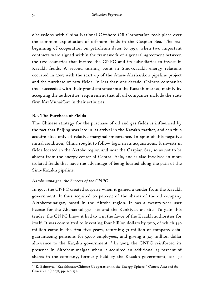discussions with China National Offshore Oil Corporation took place over the common exploitation of offshore fields in the Caspian Sea. The real beginning of cooperation on petroleum dates to 1997, when two important contracts were signed within the framework of a general agreement between the two countries that invited the CNPC and its subsidiaries to invest in Kazakh fields. A second turning point in Sino-Kazakh energy relations occurred in 2003 with the start up of the Atasu-Alashankou pipeline project and the purchase of new fields. In less than one decade, Chinese companies thus succeeded with their grand entrance into the Kazakh market, mainly by accepting the authorities' requirement that all oil companies include the state firm KazMunaiGaz in their activities.

# B.1. The Purchase of Fields

The Chinese strategy for the purchase of oil and gas fields is influenced by the fact that Beijing was late in its arrival in the Kazakh market, and can thus acquire sites only of relative marginal importance. In spite of this negative initial condition, China sought to follow logic in its acquisitions. It invests in fields located in the Aktobe region and near the Caspian Sea, so as not to be absent from the energy center of Central Asia, and is also involved in more isolated fields that have the advantage of being located along the path of the Sino-Kazakh pipeline.

# *Aktobemunaigaz, the Success of the CNPC*

In 1997, the CNPC created surprise when it gained a tender from the Kazakh government. It thus acquired 60 percent of the shares of the oil company Aktobemunaigaz, based in the Aktobe region. It has a twenty-year user license for the Zhanazhol gas site and the Kenkiyak oil site. To gain this tender, the CNPC knew it had to win the favor of the Kazakh authorities for itself. It was committed to investing four billion dollars by 2010, of which 540 million came in the first five years, returning 71 million of company debt, guaranteeing pensions for 5,000 employees, and giving a 325 million dollar allowance to the Kazakh government.<sup>114</sup> In 2003, the CNPC reinforced its presence in Aktobemunaigaz when it acquired an additional 25 percent of shares in the company, formerly held by the Kazakh government, for 150

<sup>114</sup> K. Esimova. "Kazakhstan-Chinese Cooperation in the Energy Sphere," *Central Asia and the Caucasus*, 1 (2005), pp. 146-152.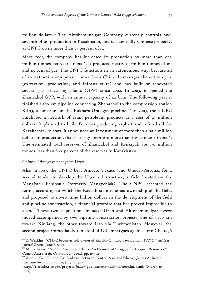million dollars.<sup>115</sup> The Aktobemunaigaz Company currently controls oneseventh of oil production in Kazakhstan, and is essentially Chinese property, as CNPC owns more than 85 percent of it.

Since 2001, the company has increased its production by more than one million tonnes per year. In 2006, it produced nearly 10 million tonnes of oil and 1.5 bcm of gas. The CNPC functions in an autonomous way, because all of its extractive equipment comes from China. It manages the entire cycle (extraction, production, and infrastructure) and has built or renovated several gas processing plants (GPP) since 2002. In 2003, it opened the Zhanazhol GPP, with an annual capacity of 1.4 bcm. The following year it finished a 160 km pipeline connecting Zhanazhol to the compression station KS-13, a junction on the Bukhara-Ural gas pipeline.<sup>116</sup> In 2003, the CNPC purchased a network of retail petroleum products at a cost of 25 million dollars. It planned to build factories producing asphalt and refined oil for Kazakhstan. In 2007, it announced an investment of more than a half-million dollars in production, that is to say one-third more than investments in 2006. The estimated total reserves of Zhanazhol and Kenkiyak are 570 million tonnes, less than five percent of the reserves in Kazakhstan.

#### *Chinese Disengagement from Uzen*

1

Also in 1997, the CNPC beat Amoco, Texaco, and Unocal-Petronas for a second tender to develop the Uzen oil structure, a field located on the Mangistau Peninsula (formerly Mangychlak). The CNPC accepted the terms, according to which the Kazakh state retained ownership of the field, and proposed to invest nine billion dollars in the development of the field and pipeline construction, a financial promise that has proved impossible to keep.<sup>117</sup> These two acquisitions in 1997—Uzen and Aktobemunaigaz—were indeed accompanied by two pipeline construction projects, one of 3,200 km toward Xinjiang, the other toward Iran via Turkmenistan. However, the second project immediately ran afoul of US embargoes against Iran (the 1996

<sup>115</sup> E. Watkins. "CNPC becomes sole owner of Kazakh-Chinese development JV," *Oil and Gas Journal Online*, June 6, 2003.<br><sup>116</sup> M. Barbasov. "An Oil Pipeline to China: An Element of Struggle for Caspian Resources,"

*Central Asia and the Caucasus*, 4, (2004), pp. 105-116. 117 Xiaojie Xu. "Oil and Gas Linkages between Central Asia and China," James A. Baker

Institute for Public Policy, July 18, 2000,

<sup>&</sup>lt;http://riceinfo.rice.edu/projects/baker/publications/xuchina/xuchina.html> (March 20 2007).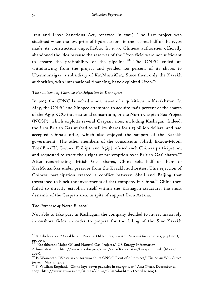Iran and Libya Sanctions Act, renewed in 2001). The first project was sidelined when the low price of hydrocarbons in the second half of the 1990s made its construction unprofitable. In 1999, Chinese authorities officially abandoned the idea because the reserves of the Uzen field were not sufficient to ensure the profitability of the pipeline.<sup>118</sup> The CNPC ended up withdrawing from the project and yielded 100 percent of its shares to Uzenmunaigaz, a subsidiary of KazMunaiGaz. Since then, only the Kazakh authorities, with international financing, have exploited  $U$ zen.<sup>119</sup>

### *The Collapse of Chinese Participation in Kashagan*

In 2003, the CPNC launched a new wave of acquisitions in Kazakhstan. In May, the CNPC and Sinopec attempted to acquire 16.67 percent of the shares of the Agip KCO international consortium, or the North Caspian Sea Project (NCSP), which exploits several Caspian sites, including Kashagan. Indeed, the firm British Gas wished to sell its shares for 1.23 billion dollars, and had accepted China's offer, which also enjoyed the support of the Kazakh government. The other members of the consortium (Shell, Exxon-Mobil, TotalFinaElf, Conoco Phillips, and Agip) refused such Chinese participation, and requested to exert their right of pre-emption over British Gas' shares.<sup>120</sup> After repurchasing British Gas' shares, China sold half of them to KazMunaiGaz under pressure from the Kazakh authorities. This rejection of Chinese participation created a conflict between Shell and Beijing that threatened to block the investments of that company in China.<sup>121</sup> China then failed to directly establish itself within the Kashagan structure, the most dynamic of the Caspian area, in spite of support from Astana.

## *The Purchase of North Buzachi*

 $\overline{a}$ 

Not able to take part in Kashagan, the company decided to invest massively in onshore fields in order to prepare for the filling of the Sino-Kazakh

<sup>118</sup> A. Chebotarev. "Kazakhstan: Priority Oil Routes," *Central Asia and the Caucasus*, 9, 3 (2001), pp. 29-30.

 $^{\mathop{\mathsf{I}\mathfrak{g}}\nolimits}$  "Kazakhstan: Major Oil and Natural Gas Projects," US Energy Information

Administration, <http://www.eia.doe.gov/emeu/cabs/Kazakhstan/kazaproj.html> (May 15 2007).

<sup>120</sup> P. Wonacott. "Western consortium shuts CNOOC out of oil project," *The Asian Wall Street Journal*, May 12, 2003. 121 F. William Engdahl. "China lays down gauntlet in energy war," *Asia Times*, December 21,

<sup>2005, &</sup>lt;http://www.atimes.com/atimes/China/GL21Ad01.html> (April 14 2007).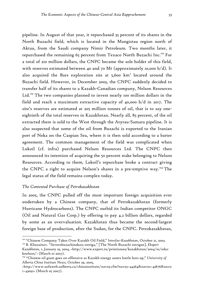pipeline. In August of that year, it repurchased 35 percent of its shares in the North Buzachi field, which is located in the Mangistau region north of Aktau, from the Saudi company Nimir Petroleum. Two months later, it repurchased the remaining 65 percent from Texaco North Buzachi Inc.<sup>122</sup> For a total of 210 million dollars, the CNPC became the sole holder of this field, with reserves estimated between 40 and 70 Mt (approximately 10,000 b/d). It also acquired the Bars exploration site at  $5,600$   $km<sup>2</sup>$  located around the Buzachi field. However, in December 2003, the CNPC suddenly decided to transfer half of its shares to a Kazakh-Canadian company, Nelson Resources Ltd.<sup>123</sup> The two companies planned to invest nearly 100 million dollars in the field and reach a maximum extractive capacity of 40,000 b/d in 2017. The site's reserves are estimated at 205 million tonnes of oil, that is to say oneeightieth of the total reserves in Kazakhstan. Nearly all, 85 percent, of the oil extracted there is sold to the West through the Atyrau-Samara pipeline. It is also suspected that some of the oil from Buzachi is exported to the Iranian port of Neka on the Caspian Sea, where it is then sold according to a barter agreement. The common management of the field was complicated when Lukoil (cf. infra) purchased Nelson Resources Ltd. The CNPC then announced its intention of acquiring the 50 percent stake belonging to Nelson Resources. According to them, Lukoil's repurchase broke a contract giving the CNPC a right to acquire Nelson's shares in a pre-emptive way.<sup>124</sup> The legal status of the field remains complex today.

### *The Contested Purchase of Petrokazakhstan*

1

In 2005, the CNPC pulled off the most important foreign acquisition ever undertaken by a Chinese company, that of Petrokazakhstan (formerly Hurricane Hydrocarbons). The CNPC outbid its Indian competitor ONGC (Oil and Natural Gas Corp.) by offering to pay 4.2 billion dollars, regarded by some as an overvaluation. Kazakhstan thus became the second-largest foreign base of production, after the Sudan, for the CNPC. Petrokazakhstan,

<sup>&</sup>lt;sup>122</sup> "Chinese Company Takes Over Kazakh Oil Field," *Interfax-Kazakhstan*, October 21, 2003.<br><sup>123</sup> B. Khusainov. "Severobuzachinskaia intriga," [The North Buzachi intrigue], *Ekspert* 

*Kazakhstan*, 1, January 19, 2004, <http://www.expert.ru/printissues/kazakhstan/2004/01/01kaknelson/> (March o1 2007).

<sup>124 &</sup>quot;Chinese oil giant goes on offensive as Kazakh energy assets battle hots up," *University of Alberta China Institute News*, October 29, 2005,

<sup>&</sup>lt;http://www.uofaweb.ualberta.ca/chinainstitute/nav03.cfm?nav03=44364&nav02=43876&nav0 1=43092> (March 05 2007).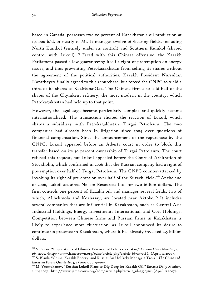based in Canada, possesses twelve percent of Kazakhstan's oil production at 150,000 b/d, or nearly 10 Mt. It manages twelve oil-bearing fields, including North Kumkol (entirely under its control) and Southern Kumkol (shared control with Lukoil).<sup>125</sup> Faced with this Chinese offensive, the Kazakh Parliament passed a law guaranteeing itself a right of pre-emption on energy issues, and thus preventing Petrokazakhstan from selling its shares without the agreement of the political authorities. Kazakh President Nursultan Nazarbayev finally agreed to this repurchase, but forced the CNPC to yield a third of its shares to KazMunaiGaz. The Chinese firm also sold half of the shares of the Chymkent refinery, the most modern in the country, which Petrokazakhstan had held up to that point.

However, the legal saga became particularly complex and quickly became internationalized. The transaction elicited the reaction of Lukoil, which shares a subsidiary with Petrokazakhstan—Turgai Petroleum. The two companies had already been in litigation since 2004 over questions of financial compensation. Since the announcement of the repurchase by the CNPC, Lukoil appeared before an Alberta court in order to block this transfer based on its 50 percent ownership of Turgai Petroleum. The court refused this request, but Lukoil appealed before the Court of Arbitration of Stockholm, which confirmed in 2006 that the Russian company had a right of pre-emption over half of Turgai Petroleum. The CNPC counter-attacked by invoking its right of pre-emption over half of the Buzachi field.<sup>126</sup> At the end of 2006, Lukoil acquired Nelson Resources Ltd. for two billion dollars. The firm controls one percent of Kazakh oil, and manages several fields, two of which, Alibekmola and Kozhasay, are located near Aktobe.<sup>127</sup> It includes several companies that are influential in Kazakhstan, such as Central Asia Industrial Holdings, Energy Investments International, and Cott Holdings. Competition between Chinese firms and Russian firms in Kazakhstan is likely to experience more fluctuation, as Lukoil announced its desire to continue its presence in Kazakhstan, where it has already invested 4.5 billion dollars.

<sup>125</sup> V. Socor. "Implications of China's Takeover of Petrokazakhstan," *Eurasia Daily Monitor*, 2, 165, 2005, <http://www.jamestown.org/edm/article.php?article\_id=2370186> (April 14 2007).

<sup>126</sup> S. Blank. "China, Kazakh Energy, and Russia: An Unlikely Ménage à Trois," *The China and Eurasian Forum Quarterly*, 3, 3 (2005), pp. 99-109. 127 M. Yermukanov. "Russian Lukoil Plans to Dig Deep for Kazakh Oil," *Eurasia Daily Monitor*,

<sup>2, 189 2005, &</sup>lt;http://www.jamestown.org/edm/article.php?article\_id=2370326> (April 21 2007).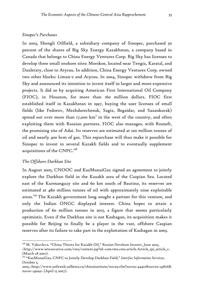#### *Sinopec's Purchases*

In 2003, Shengli Oilfield, a subsidiary company of Sinopec, purchased 50 percent of the shares of Big Sky Energy Kazakhstan, a company based in Canada that belongs to China Energy Ventures Corp. Big Sky has licenses to develop three small onshore sites: Morskoe, located near Tengiz, Karatal, and Dauletaty, close to Atyrau. In addition, China Energy Ventures Corp. owned two other blocks: Liman-2 and Atyrau. In 2004, Sinopec withdrew from Big Sky and announced its intention to invest itself in larger and more expensive projects. It did so by acquiring American First International Oil Company (FIOC), in Houston, for more than 160 million dollars. FIOC first established itself in Kazakhstan in 1997, buying the user licenses of small fields (like Fedorov, Mezhdurechensk, Sagiz, Begaidar, and Sazankurak) spread out over more than 17,000  $km^2$  in the west of the country, and often exploiting them with Russian partners. FIOC also manages, with Rosneft, the promising site of Adai. Its reserves are estimated at 100 million tonnes of oil and nearly 400 bcm of gas. This repurchase will thus make it possible for Sinopec to invest in several Kazakh fields and to eventually supplement acquisitions of the CNPC. $^{128}$ 

#### *The Offshore Darkhan Site*

1

In August 2005, CNOOC and KazMunaiGaz signed an agreement to jointly explore the Darkhan field in the Kazakh area of the Caspian Sea. Located east of the Kurmangazy site and 60 km south of Bautino, its reserves are estimated at 480 million tonnes of oil with approximately nine exploitable areas.<sup>129</sup> The Kazakh government long sought a partner for this venture, and only the Indian ONGC displayed interest. China hopes to attain a production of 60 million tonnes in 2015, a figure that seems particularly optimistic. Even if the Darkhan site is not Kashagan, its acquisition makes it possible for Beijing to finally be a player in the vast, offshore Caspian reserves after its failure to take part in the exploitation of Kashagan in 2003.

<sup>128</sup> M. Yakovleva. "China Thirsts for Kazakh Oil," *Russian Petroleum Investor*, June 2005, <http://www.wtexecutive.com/cms/content.jsp?id=com.tms.cms.article.Article\_rpi\_article\_1> (March 28 2007).

<sup>129 &</sup>quot;KazMunaiGaz, CNPC to Jointly Develop Darkhan Field," *Interfax Information Services*, October 5,

<sup>2005, &</sup>lt;http://www.uofaweb.ualberta.ca/chinainstitute/nav03.cfm?nav03=44401&nav02=43876& nav01=43092> (April 15 2007).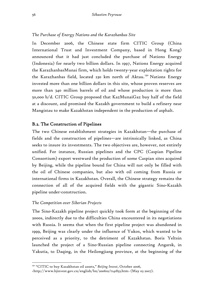## *The Purchase of Energy Nations and the Karazhanbas Site*

In December 2006, the Chinese state firm CITIC Group (China International Trust and Investment Company, based in Hong Kong) announced that it had just concluded the purchase of Nations Energy (Indonesia) for nearly two billion dollars. In 1997, Nations Energy acquired the KarazhanbasMunai firm, which holds twenty-year exploitation rights for the Karazhanbas field, located 230 km north of Aktau.<sup>130</sup> Nations Energy invested more than one billion dollars in this site, whose proven reserves are more than 340 million barrels of oil and whose production is more than 50,000 b/d. CITIC Group proposed that KazMunaiGaz buy half of the field at a discount, and promised the Kazakh government to build a refinery near Mangistau to make Kazakhstan independent in the production of asphalt.

# B.2. The Construction of Pipelines

The two Chinese establishment strategies in Kazakhstan—the purchase of fields and the construction of pipelines—are intrinsically linked, as China seeks to insure its investments. The two objectives are, however, not entirely unified. For instance, Russian pipelines and the CPC (Caspian Pipeline Consortium) export westward the production of some Caspian sites acquired by Beijing, while the pipeline bound for China will not only be filled with the oil of Chinese companies, but also with oil coming from Russia or international firms in Kazakhstan. Overall, the Chinese strategy remains the connection of all of the acquired fields with the gigantic Sino-Kazakh pipeline under-construction.

## *The Competition over Siberian Projects*

 $\overline{a}$ 

The Sino-Kazakh pipeline project quickly took form at the beginning of the 2000s, indirectly due to the difficulties China encountered in its negotiations with Russia. It seems that when the first pipeline project was abandoned in 1999, Beijing was clearly under the influence of Yukos, which wanted to be perceived as a priority, to the detriment of Kazakhstan. Boris Yeltsin launched the project of a Sino-Russian pipeline connecting Angarsk, in Yakutia, to Daqing, in the Heilongjiang province, at the beginning of the

<sup>130 &</sup>quot;CITIC to buy Kazakhstan oil assets," *Beijing Invest*, October 2006,

<sup>&</sup>lt;http://www.bjinvest.gov.cn/english/bn/200610/t141833.htm> (May 03 2007).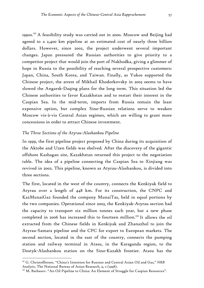1990s.<sup>131</sup> A feasibility study was carried out in 2000. Moscow and Beijing had agreed to a 2,400 km pipeline at an estimated cost of nearly three billion dollars. However, since 2002, the project underwent several important changes. Japan pressured the Russian authorities to give priority to a competitor project that would join the port of Nakhodka, giving a glimmer of hope in Russia to the possibility of reaching several prospective customers: Japan, China, South Korea, and Taiwan. Finally, as Yukos supported the Chinese project, the arrest of Mikhail Khodorkovsky in 2003 seems to have slowed the Angarsk-Daqing plans for the long term. This situation led the Chinese authorities to favor Kazakhstan and to restart their interest in the Caspian Sea. In the mid-term, imports from Russia remain the least expensive option, but complex Sino-Russian relations serve to weaken Moscow vis-à-vis Central Asian regimes, which are willing to grant more concessions in order to attract Chinese investment.

## *The Three Sections of the Atyrau-Alashankou Pipeline*

In 1999, the first pipeline project proposed by China during its acquisition of the Aktobe and Uzen fields was shelved. After the discovery of the gigantic offshore Kashagan site, Kazakhstan returned this project to the negotiation table. The idea of a pipeline connecting the Caspian Sea to Xinjiang was revived in 2002. This pipeline, known as Atyrau-Alashankou, is divided into three sections.

The first, located in the west of the country, connects the Kenkiyak field to Atyrau over a length of 448 km. For its construction, the CNPC and KazMunaiGaz founded the company MunaiTas, held in equal portions by the two companies. Operational since 2003, the Kenkiyak-Atyrau section had the capacity to transport six million tonnes each year, but a new phase completed in 2006 has increased this to fourteen million.132 It allows the oil extracted from the Chinese fields in Kenkiyak and Zhanazhol to join the Atyrau-Samara pipeline and the CPC for export to European markets. The second section, located in the east of the country, connects the pumping station and railway terminal in Atasu, in the Karaganda region, to the Dostyk-Alashankou station on the Sino-Kazakh frontier. Atasu has the

<u>.</u>

<sup>131</sup> G. Christoffersen. "China's Intention for Russian and Central Asian Oil and Gas," *NRB Analysis*, The National Bureau of Asian Research, 9, 2 (1998).<br><sup>132</sup> M. Barbasov. "An Oil Pipeline to China: An Element of Struggle for Caspian Resources".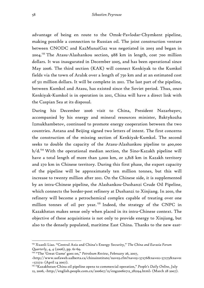advantage of being en route to the Omsk-Pavlodar-Chymkent pipeline, making possible a connection to Russian oil. The joint construction venture between CNODC and KazMunaiGaz was negotiated in 2003 and began in 2004.133 The Atasu-Alashankou section, 988 km in length, cost 700 million dollars. It was inaugurated in December 2005, and has been operational since May 2006. The third section (KAK) will connect Kenkiyak to the Kumkol fields via the town of Aralsk over a length of 750 km and at an estimated cost of 511 million dollars. It will be complete in 2011. The last part of the pipeline, between Kumkol and Atasu, has existed since the Soviet period. Thus, once Kenkiyak-Kumkol is in operation in 2011, China will have a direct link with the Caspian Sea at its disposal.

During his December 2006 visit to China, President Nazarbayev, accompanied by his energy and mineral resources minister, Baktykozha Izmukhambetov, continued to promote energy cooperation between the two countries. Astana and Beijing signed two letters of intent. The first concerns the construction of the missing section of Kenkiyak-Kumkol. The second seeks to double the capacity of the Atasu-Alashankou pipeline to 400,000  $b/d$ <sup>134</sup> With the operational median section, the Sino-Kazakh pipeline will have a total length of more than 3,000 km, or 2,818 km in Kazakh territory and 270 km in Chinese territory. During this first phase, the export capacity of the pipeline will be approximately ten million tonnes, but this will increase to twenty million after 2011. On the Chinese side, it is supplemented by an intra-Chinese pipeline, the Alashankou-Dushanzi Crude Oil Pipeline, which connects the border-post refinery at Dushanzi to Xinjiang. In 2010, the refinery will become a petrochemical complex capable of treating over one million tonnes of oil per year.<sup>135</sup> Indeed, the strategy of the CNPC in Kazakhstan makes sense only when placed in its intra-Chinese context. The objective of these acquisitions is not only to provide energy to Xinjiang, but also to the densely populated, maritime East China. Thanks to the new east-

<sup>133</sup> Xuanli Liao. "Central Asia and China's Energy Security," *The China and Eurasia Forum Quarterly*, 4, 4 (2006), pp. 61-69. 134 "The 'Great Game' goes on," *Petroleum Review*, February 26, 2007,

<sup>&</sup>lt;http://www.uofaweb.ualberta.ca/chinainstitute/nav03.cfm?nav03=57276&nav02=57275&nav01 =57272> (April 14 2007).

<sup>135 &</sup>quot;Kazakhstan-China oil pipeline opens to commercial operation," *People's Daily Online*, July 12, 2006, <http://english.people.com.cn/200607/12/eng20060712\_282194.html> (March 28 2007).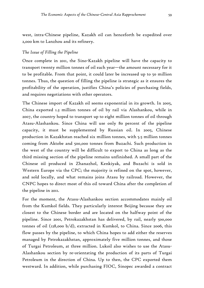west, intra-Chinese pipeline, Kazakh oil can henceforth be expedited over 2,000 km to Lanzhou and its refinery.

### *The Issue of Filling the Pipeline*

Once complete in 2011, the Sino-Kazakh pipeline will have the capacity to transport twenty million tonnes of oil each year—the amount necessary for it to be profitable. From that point, it could later be increased up to 50 million tonnes. Thus, the question of filling the pipeline is strategic as it ensures the profitability of the operation, justifies China's policies of purchasing fields, and requires negotiations with other operators.

The Chinese import of Kazakh oil seems exponential in its growth. In 2005, China exported 1.3 million tonnes of oil by rail via Alashankou, while in 2007, the country hoped to transport up to eight million tonnes of oil through Atasu-Alashankou. Since China will use only 80 percent of the pipeline capacity, it must be supplemented by Russian oil. In 2005, Chinese production in Kazakhstan reached six million tonnes, with 5.5 million tonnes coming from Aktobe and 500,000 tonnes from Buzachi. Such production in the west of the country will be difficult to export to China as long as the third missing section of the pipeline remains unfinished. A small part of the Chinese oil produced in Zhanazhol, Kenkiyak, and Buzachi is sold in Western Europe via the CPC; the majority is refined on the spot, however, and sold locally, and what remains joins Atasu by railroad. However, the CNPC hopes to direct most of this oil toward China after the completion of the pipeline in 2011.

For the moment, the Atasu-Alashankou section accommodates mainly oil from the Kumkol fields. They particularly interest Beijing because they are closest to the Chinese border and are located on the halfway point of the pipeline. Since 2001, Petrokazakhstan has delivered, by rail, nearly 500,000 tonnes of oil (128,000 b/d), extracted in Kumkol, to China. Since 2006, this flow passes by the pipeline, to which China hopes to add either the reserves managed by Petrokazakhstan, approximately five million tonnes, and those of Turgai Petroleum, at three million. Lukoil also wishes to use the Atasu-Alashankou section by re-orientating the production of its parts of Turgai Petroleum in the direction of China. Up to then, the CPC exported them westward. In addition, while purchasing FIOC, Sinopec awarded a contract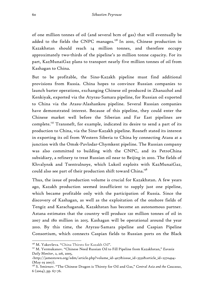of one million tonnes of oil (and several bcm of gas) that will eventually be added to the fields the CNPC manages.<sup>136</sup> In 2010, Chinese production in Kazakhstan should reach 14 million tonnes, and therefore occupy approximately two-thirds of the pipeline's 20 million tonne capacity. For its part, KazMunaiGaz plans to transport nearly five million tonnes of oil from Kashagan to China.

But to be profitable, the Sino-Kazakh pipeline must find additional provisions from Russia. China hopes to convince Russian companies to launch barter operations, exchanging Chinese oil produced in Zhanazhol and Kenkiyak, exported via the Atyrau-Samara pipeline, for Russian oil exported to China via the Atasu-Alashankou pipeline. Several Russian companies have demonstrated interest. Because of this pipeline, they could enter the Chinese market well before the Siberian and Far East pipelines are complete.<sup>137</sup> Transneft, for example, indicated its desire to send a part of its production to China, via the Sino-Kazakh pipeline. Rosneft stated its interest in exporting its oil from Western Siberia to China by connecting Atasu at a junction with the Omsk-Pavlodar-Chymkent pipeline. The Russian company was also committed to building with the CNPC, and its PetroChina subsidiary, a refinery to treat Russian oil near to Beijing in 2010. The fields of Khvalynsk and Tsentralnoye, which Lukoil exploits with KazMunaiGaz, could also see part of their production shift toward China.<sup>138</sup>

Thus, the issue of production volume is crucial for Kazakhstan. A few years ago, Kazakh production seemed insufficient to supply just one pipeline, which became profitable only with the participation of Russia. Since the discovery of Kashagan, as well as the exploitation of the onshore fields of Tengiz and Karachaganak, Kazakhstan has become an autonomous partner. Astana estimates that the country will produce 120 million tonnes of oil in 2007 and 180 million in 2015. Kashagan will be operational around the year 2010. By this time, the Atyrau-Samara pipeline and Caspian Pipeline Consortium, which connects Caspian fields to Russian ports on the Black

<sup>&</sup>lt;sup>136</sup> M. Yakovleva. "China Thirsts for Kazakh Oil".<br><sup>137</sup> M. Yermukanov. "Chinese Need Russian Oil to Fill Pipeline from Kazakhstan," *Eurasia Daily Monitor*, 2, 216, 2005,

<sup>&</sup>lt;http://jamestown.org/edm/article.php?volume\_id=407&issue\_id=3532&article\_id=2370494> (May 03 2007).

<sup>138</sup> S. Smirnov. "The Chinese Dragon is Thirsty for Oil and Gas," *Central Asia and the Caucasus*, 6 (2004), pp. 67-76.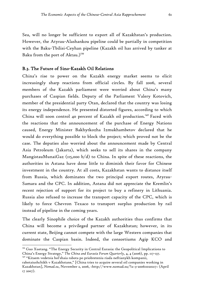Sea, will no longer be sufficient to export all of Kazakhstan's production. However, the Atyrau-Alashankou pipeline could be partially in competition with the Baku-Tbilisi-Ceyhan pipeline (Kazakh oil has arrived by tanker at Baku from the port of Aktau.)<sup>139</sup>

## B.3. The Future of Sino-Kazakh Oil Relations

China's rise to power on the Kazakh energy market seems to elicit increasingly sharp reactions from official circles. By fall 2006, several members of the Kazakh parliament were worried about China's many purchases of Caspian fields. Deputy of the Parliament Valery Kotovich, member of the presidential party Otan, declared that the country was losing its energy independence. He presented distorted figures, according to which China will soon control 40 percent of Kazakh oil production.<sup>140</sup> Faced with the reactions that the announcement of the purchase of Energy Nations caused, Energy Minister Bakhytkozha Izmukhambetov declared that he would do everything possible to block the project; which proved not be the case. The deputies also worried about the announcement made by Central Asia Petroleum (Jakarta), which seeks to sell its shares in the company MangistauMunaiGaz ( $115,000$  b/d) to China. In spite of these reactions, the authorities in Astana have done little to diminish their favor for Chinese investment in the country. At all costs, Kazakhstan wants to distance itself from Russia, which dominates the two principal export routes, Atyrau-Samara and the CPC. In addition, Astana did not appreciate the Kremlin's recent rejection of support for its project to buy a refinery in Lithuania. Russia also refused to increase the transport capacity of the CPC, which is likely to force Chevron Texaco to transport surplus production by rail instead of pipeline in the coming years.

The clearly Sinophile choice of the Kazakh authorities thus confirms that China will become a privileged partner of Kazakhstan; however, in its current state, Beijing cannot compete with the large Western companies that dominate the Caspian basin. Indeed, the consortiums Agip KCO and

1

<sup>&</sup>lt;sup>139</sup> Guo Xuetang. "The Energy Security in Central Eurasia: the Geopolitical Implications to China's Energy Strategy," *The China and Eurasia Forum Quarterly*, 4, 4 (2006), pp. 117-137.<br><sup>140</sup> "Kitaem vedetsia bol'shaia rabota po priobreteniu riada neftianykh kompanii,

rabotaiushchikh v Kazakhstane," [China tries to acquire several oil companies working in Kazakhstan], *Nomad.su*, November 2, 2006, <http://www.nomad.su/?a=3-200611020217> (April 17 2007).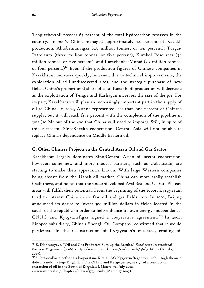Tengizchevroil possess 67 percent of the total hydrocarbon reserves in the country. In 2006, China managed approximately 24 percent of Kazakh production: Aktobemunaigaz (5.8 million tonnes, or ten percent), Turgai-Petroleum (three million tonnes, or five percent), Kumkol Resources (3.1 million tonnes, or five percent), and KarazhanbasMunai (2.2 million tonnes, or four percent.)<sup>141</sup> Even if the production figures of Chinese companies in Kazakhstan increases quickly, however, due to technical improvements, the exploration of still-undiscovered sites, and the strategic purchase of new fields, China's proportional share of total Kazakh oil production will decrease as the exploitation of Tengiz and Kashagan increases the size of the pie. For its part, Kazakhstan will play an increasingly important part in the supply of oil to China. In 2004, Astana represented less than one percent of Chinese supply, but it will reach five percent with the completion of the pipeline in 2011 (20 Mt out of the 400 that China will need to import). Still, in spite of this successful Sino-Kazakh cooperation, Central Asia will not be able to replace China's dependence on Middle Eastern oil.

# C. Other Chinese Projects in the Central Asian Oil and Gas Sector

Kazakhstan largely dominates Sino-Central Asian oil sector cooperation; however, some new and more modest partners, such as Uzbekistan, are starting to make their appearance known. With large Western companies being absent from the Uzbek oil market, China can more easily establish itself there, and hopes that the under-developed Aral Sea and Ustiurt Plateau areas will fulfill their potential. From the beginning of the 2000s, Kyrgyzstan tried to interest China in its few oil and gas fields, too. In 2002, Beijing announced its desire to invest 300 million dollars in fields located in the south of the republic in order to help enhance its own energy independence. CNNC and Kyrgyzneftgaz signed a cooperative agreement. 142 In 2004, Sinopec subsidiary, China's Shengli Oil Company, confirmed that it would participate in the reconstruction of Kyrgyzstan's outdated, eroding oil

<sup>141</sup> E. Djantureyeva. "Oil and Gas Producers Sum up the Results," *Kazakhstan International Business Magazine*, 1 (2006), <http://www.investkz.com/en/journals/46/70.html> (April 17 2007).

<sup>142 &</sup>quot;Natsional'naia neftianaia korporatsiia Kitaia i AO Kyrgyzneftegaz zakliuchili soglashenie o dobyche nefti na iuge Kirgizii," [The CNPC and Kyrgyzneftegaz signed a contract on extraction of oil in the South of Kirghizia], *Mineral.ru*, July 2002,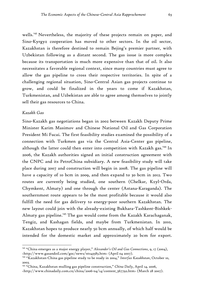wells.<sup>143</sup> Nevertheless, the majority of these projects remain on paper, and Sino-Kyrgyz cooperation has moved to other sectors. In the oil sector, Kazakhstan is therefore destined to remain Bejing's premier partner, with Uzbekistan following as a distant second. The gas issue is more complex because its transportation is much more expensive than that of oil. It also necessitates a favorable regional context, since many countries must agree to allow the gas pipeline to cross their respective territories. In spite of a challenging regional situation, Sino-Central Asian gas projects continue to grow, and could be finalized in the years to come if Kazakhstan, Turkmenistan, and Uzbekistan are able to agree among themselves to jointly sell their gas resources to China.

#### *Kazakh Gas*

1

Sino-Kazakh gas negotiations began in 2002 between Kazakh Deputy Prime Minister Karim Masimov and Chinese National Oil and Gas Corporation President Mi Fucai. The first feasibility studies examined the possibility of a connection with Turkmen gas via the Central Asia-Center gas pipeline, although the latter could then enter into competition with Kazakh gas.<sup>144</sup> In 2006, the Kazakh authorities signed an initial construction agreement with the CNPC and its PetroChina subsidiary. A new feasibility study will take place during 2007 and construction will begin in 2008. The gas pipeline will have a capacity of 10 bcm in 2009, and then expand to 30 bcm in 2012. Two routes are currently being studied, one southern (Chelkar, Kzyl-Orda, Chymkent, Almaty) and one through the center (Astana-Karaganda). The southernmost route appears to be the most profitable because it would also fulfill the need for gas delivery to energy-poor southern Kazakhstan. The new layout could join with the already-existing Bukhara-Tashkent-Bishkek-Almaty gas pipeline.<sup>145</sup> The gas would come from the Kazakh Karachaganak, Tengiz, and Kashagan fields, and maybe from Turkmenistan. In 2010, Kazakhstan hopes to produce nearly 50 bcm annually, of which half would be intended for the domestic market and approximately 20 bcm for export.

<sup>143 &</sup>quot;China emerges as a major energy player," *Alexander's Oil and Gas Connections*, 9, 17 (2004), <http://www.gasandoil.com/goc/news/nts43583.htm> (April 04 2007).

<sup>144 &</sup>quot;Kazakhstan-China gas pipeline study to be ready in 2004," *Interfax Kazakhstan*, October 10, 2003.

<sup>145 &</sup>quot;China, Kazakhstan mulling gas pipeline construction," *China Daily*, April 14, 2006,

<sup>&</sup>lt;http://www.chinadaily.com.cn/china/2006-04/14/content\_567792.htm> (March 28 2007).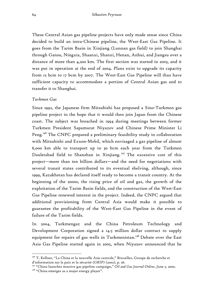These Central Asian gas pipeline projects have only made sense since China decided to build an intra-Chinese pipeline, the West-East Gas Pipeline. It goes from the Tarim Basin in Xinjiang (Lunnan gas field) to join Shanghai through Gansu, Ningxia, Shaanxi, Shanxi, Henan, Anhui, and Jiangsu over a distance of more than 4,200 km. The first section was started in 2003, and it was put in operation at the end of 2004. Plans exist to upgrade its capacity from 12 bcm to 17 bcm by 2007. The West-East Gas Pipeline will thus have sufficient capacity to accommodate a portion of Central Asian gas and to transfer it to Shanghai.

## *Turkmen Gas*

 $\overline{a}$ 

Since 1992, the Japanese firm Mitsubishi has proposed a Sino-Turkmen gas pipeline project in the hope that it would then join Japan from the Chinese coast. The subject was broached in 1994 during meetings between former Turkmen President Sapamurat Niyazov and Chinese Prime Minister Li Peng.<sup>146</sup> The CNPC prepared a preliminary feasibility study in collaboration with Mitsubishi and Exxon-Mobil, which envisaged a gas pipeline of almost 6,000 km able to transport up to 30 bcm each year from the Turkmen Dauletabad field to Shanshan in Xinjiang.<sup>147</sup> The excessive cost of this project—more than ten billion dollars—and the need for negotiations with several transit states contributed to its eventual shelving, although, since 1999, Kazakhstan has declared itself ready to become a transit country. At the beginning of the 2000s, the rising price of oil and gas, the growth of the exploitation of the Tarim Basin fields, and the construction of the West-East Gas Pipeline renewed interest in the project. Indeed, the CNPC argued that additional provisioning from Central Asia would make it possible to guarantee the profitability of the West-East Gas Pipeline in the event of failure of the Tarim fields.

In 2004, Turkmengaz and the China Petroleum Technology and Development Corporation signed a 14.5 million dollar contract to supply equipment for repairs of gas wells in Turkmenistan.<sup>148</sup> Debate over the East Asia Gas Pipeline started again in 2005, when Niyazov announced that he

<sup>&</sup>lt;sup>146</sup> T. Kellner, "La Chine et la nouvelle Asie centrale," Bruxelles, Groupe de recherche et d'information sur la paix et la sécurité (GRIP) (2002), p. 26. 147 "China launches massive gas pipeline campaign," *Oil and Gas Journal Online*, June 5, 2000.

<sup>&</sup>lt;sup>148</sup> "China emerges as a major energy player".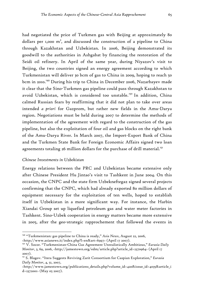had negotiated the price of Turkmen gas with Beijing at approximately 80 dollars per 1,000  $m^3$ , and discussed the construction of a pipeline to China through Kazakhstan and Uzbekistan. In 2006, Beijing demonstrated its goodwill to the authorities in Ashgabat by financing the restoration of the Seidi oil refinery. In April of the same year, during Niyazov's visit to Beijing, the two countries signed an energy agreement according to which Turkmenistan will deliver 30 bcm of gas to China in 2009, hoping to reach 50 bcm in 2010.<sup>149</sup> During his trip to China in December 2006, Nazarbayev made it clear that the Sino-Turkmen gas pipeline could pass through Kazakhstan to avoid Uzbekistan, which is considered too unstable.<sup>150</sup> In addition, China calmed Russian fears by reaffirming that it did not plan to take over areas intended *a priori* for Gazprom, but rather new fields in the Amu-Darya region. Negotiations must be held during 2007 to determine the methods of implementation of the agreement with regard to the construction of the gas pipeline, but also the exploitation of four oil and gas blocks on the right bank of the Amu-Darya River. In March 2007, the Import-Export Bank of China and the Turkmen State Bank for Foreign Economic Affairs signed two loan agreements totaling 26 million dollars for the purchase of drill material.<sup>151</sup>

#### *Chinese Investments in Uzbekistan*

1

Energy relations between the PRC and Uzbekistan became extensive only after Chinese President Hu Jintao's visit to Tashkent in June 2004. On this occasion, the CNPC and the state firm Uzbekneftegaz signed several projects confirming that the CNPC, which had already exported 80 million dollars of equipment necessary for the exploitation of ten wells, hoped to establish itself in Uzbekistan in a more significant way. For instance, the Harbin Xiandai Group set up liquefied petroleum gas and water meter factories in Tashkent. Sino-Uzbek cooperation in energy matters became more extensive in 2005, after the geo-strategic rapprochement that followed the events in

<sup>149 &</sup>quot;Turkmenistan: gas pipeline to China is ready," *Asia News*, August 22, 2006,

<sup>&</sup>lt;http://www.asianews.it/index.php?l=en&art=6997> (April 17 2007). 150 V. Socor. "Turkmenistan-China Gas Agreement Unrealistically Ambitious," *Eurasia Daily Monitor*, 3, 69, 2006, <http://jamestown.org/edm/article.php?article\_id=2370964> (April 17 2007).

<sup>151</sup> S. Blagov. "Itera Suggests Reviving Zarit Consortium for Caspian Exploration," *Eurasia Daily Monitor*, 4, 51, 2007,

<sup>&</sup>lt;http://www.jamestown.org/publications\_details.php?volume\_id=420&issue\_id=4035&article\_i d=2372001> (May 05 2007).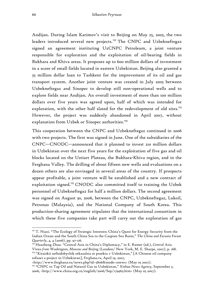Andijan. During Islam Karimov's visit to Beijing on May 25, 2005, the two leaders introduced several new projects.<sup>152</sup> The CNPC and Uzbekneftegaz signed an agreement instituting UzCNPC Petroleum, a joint venture responsible for exploration and the exploitation of oil-bearing fields in Bukhara and Khiva areas. It proposes up to 600 million dollars of investment in a score of small fields located in eastern Uzbekistan. Beijing also granted a 35 million dollar loan to Tashkent for the improvement of its oil and gas transport system. Another joint venture was created in July 2005 between Uzbekneftegaz and Sinopec to develop still non-operational wells and to explore fields near Andijan. An overall investment of more than 100 million dollars over five years was agreed upon, half of which was intended for exploration, with the other half slated for the redevelopment of old sites.<sup>153</sup> However, the project was suddenly abandoned in April 2007, without explanation from Uzbek or Sinopec authorities.<sup>154</sup>

This cooperation between the CNPC and Uzbekneftegaz continued in 2006 with two projects. The first was signed in June. One of the subsidiaries of the CNPC—CNODC—announced that it planned to invest 210 million dollars in Uzbekistan over the next five years for the exploitation of five gas and oil blocks located on the Ustiurt Plateau, the Bukhara-Khiva region, and in the Ferghana Valley. The drilling of about fifteen new wells and evaluations on a dozen others are also envisaged in several areas of the country. If prospects appear profitable, a joint venture will be established and a new contract of exploitation signed.<sup>155</sup> CNODC also committed itself to training the Uzbek personnel of Uzbekneftegaz for half a million dollars. The second agreement was signed on August 30, 2006, between the CNPC, Uzbekneftegaz, Lukoil, Petronas (Malaysia), and the National Company of South Korea. This production-sharing agreement stipulates that the international consortium in which these five companies take part will carry out the exploration of gas

refuses a project in Uzbekistan], *Ferghana.ru*, April 19, 2007, <http://www.ferghana.ru/news.php?id=5806&mode=snews> (May 05 2007).

<sup>&</sup>lt;sup>152</sup> T. Niazi. "The Ecology of Strategic Interests: China's Quest for Energy Security from the Indian Ocean and the South China Sea to the Caspian Sea Basin," *The China and Eurasia Forum Quarterly*, 4, 4 (2006), pp. 97-116. 153 Huasheng Zhao. "Central Asia in China's Diplomacy," in E. Rumer (ed.), *Central Asia.* 

*Views from Washington, Moscow and Beijing* (London/ New York, M. E. Sharpe, 2007), p. 168. 154 "Kitaiskii neftedobychik otkazalsia ot proekta v Uzbekistan," [A Chinese oil company

<sup>155 &</sup>quot;CNPC to Tap Oil and Natural Gas in Uzbekistan," *Xinhua News Agency*, September 3, 2006, <http://www.china.org.cn/english/2006/Sep/179963.htm> (May 05 2007).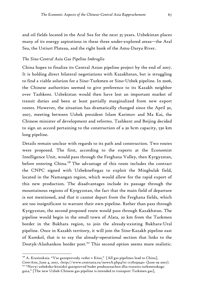and oil fields located in the Aral Sea for the next 35 years. Uzbekistan places many of its energy aspirations in these three under-explored areas—the Aral Sea, the Ustiurt Plateau, and the right bank of the Amu-Darya River.

### *The Sino-Central Asia Gas Pipeline Imbroglio*

China hopes to finalize its Central Asian pipeline project by the end of 2007. It is holding direct bilateral negotiations with Kazakhstan, but is struggling to find a viable solution for a Sino-Turkmen or Sino-Uzbek pipeline. In 2006, the Chinese authorities seemed to give preference to its Kazakh neighbor over Tashkent. Uzbekistan would then have lost an important market of transit duties and been at least partially marginalized from new export routes. However, the situation has dramatically changed since the April 30, 2007, meeting between Uzbek president Islam Karimov and Ma Kai, the Chinese minister of development and reforms. Tashkent and Beijing decided to sign an accord pertaining to the construction of a 30 bcm capacity, 530 km long pipeline.

Details remain unclear with regards to its path and construction. Two routes were proposed. The first, according to the experts at the Economist Intelligence Unit, would pass through the Ferghana Valley, then Kyrgyzstan, before entering China.<sup>156</sup> The advantage of this route includes the contract the CNPC signed with Uzbekneftegaz to exploit the Mingbulak field, located in the Namangan region, which would allow for the rapid export of this new production. The disadvantages include its passage through the mountainous regions of Kyrgyzstan, the fact that the main field of departure is not mentioned, and that it cannot depart from the Ferghana fields, which are too insignificant to warrant their own pipeline. Rather than pass through Kyrgyzstan, the second proposed route would pass through Kazakhstan. The pipeline would begin in the small town of Alata, 20 km from the Turkmen border in the Bukhara region, to join the already-existing Bukhara-Ural pipeline. Once in Kazakh territory, it will join the Sino-Kazakh pipeline east of Kumkol, that is to say the already-operational section that links to the Dostyk-Alashankou border post.<sup>157</sup> This second option seems more realistic.

<u>.</u>

 $156$  A. Krasinskaia. "Vse gazoprovody vedut v Kitai," [All gas pipelines lead to China], *CentrAsia*, June 4, 2007, <http://www.centrasia.ru/newsA.php4?st=1178259540> (June 09 2007). 157 "Novyi uzbeksko-kitaiskii gazoprovod budet prednaznachen dlia tranzita turkmenskogo

gaza," [The new Uzbek-Chinese gas pipeline is intended to transport Turkmen gas],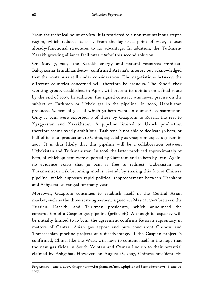From the technical point of view, it is restricted to a non-mountainous steppe region, which reduces its cost. From the logistical point of view, it uses already-functional structures to its advantage. In addition, the Turkmen-Kazakh growing alliance facilitates *a priori* this second solution.

On May 7, 2007, the Kazakh energy and natural resources minister, Baktykozha Izmukhambetov, confirmed Astana's interest but acknowledged that the route was still under consideration. The negotiations between the different countries concerned will therefore be arduous. The Sino-Uzbek working group, established in April, will present its opinion on a final route by the end of 2007. In addition, the signed contract was never precise on the subject of Turkmen or Uzbek gas in the pipeline. In 2006, Uzbekistan produced 62 bcm of gas, of which 50 bcm went on domestic consumption. Only 12 bcm were exported, 9 of these by Gazprom to Russia, the rest to Kyrgyzstan and Kazakhstan. A pipeline limited to Uzbek production therefore seems overly ambitious. Tashkent is not able to dedicate 30 bcm, or half of its total production, to China, especially as Gazprom expects 13 bcm in 2007. It is thus likely that this pipeline will be a collaboration between Uzbekistan and Turkmenistan. In 2006, the latter produced approximately 65 bcm, of which 40 bcm were exported by Gazprom and 10 bcm by Iran. Again, no evidence exists that 30 bcm is free to redirect. Uzbekistan and Turkmenistan risk becoming modus vivendi by sharing this future Chinese pipeline, which supposes rapid political rapprochement between Tashkent and Ashgabat, estranged for many years.

Moreover, Gazprom continues to establish itself in the Central Asian market, such as the three-state agreement signed on May 12, 2007 between the Russian, Kazakh, and Turkmen presidents, which announced the construction of a Caspian gas pipeline (prikaspii). Although its capacity will be initially limited to 10 bcm, the agreement confirms Russian supremacy in matters of Central Asian gas export and puts concurrent Chinese and Transcaspian pipeline projects at a disadvantage. If the Caspian project is confirmed, China, like the West, will have to content itself in the hope that the new gas fields in South Yolotan and Osman live up to their potential claimed by Ashgabat. However, on August 18, 2007, Chinese president Hu

*Ferghana.ru*, June 7, 2007, <http://www.ferghana.ru/news.php?id=5988&mode=snews> (June 09 2007).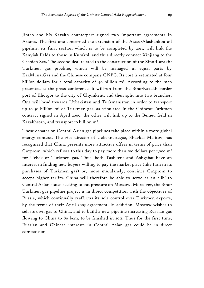Jintao and his Kazakh counterpart signed two important agreements in Astana. The first one concerned the extension of the Atasu-Alashankou oil pipeline: its final section which is to be completed by 2011, will link the Kenyiak fields to those in Kumkol, and thus directly connect Xinjiang to the Caspian Sea. The second deal related to the construction of the Sino-Kazakh-Turkmen gas pipeline, which will be managed in equal parts by KazMunaiGas and the Chinese company CNPC. Its cost is estimated at four billion dollars for a total capacity of 40 billion  $m^3$ . According to the map presented at the press conference, it will run from the Sino-Kazakh border post of Khorgos to the city of Chymkent, and then split into two branches. One will head towards Uzbekistan and Turkmenistan in order to transport up to 30 billion m<sup>3</sup> of Turkmen gas, as stipulated in the Chinese-Turkmen contract signed in April 2006; the other will link up to the Beineu field in Kazakhstan, and transport 10 billion m<sup>3</sup>.

These debates on Central Asian gas pipelines take place within a more global energy context. The vice director of Uzbekneftegaz, Shavkat Majitov, has recognized that China presents more attractive offers in terms of price than Gazprom, which refuses to this day to pay more than 100 dollars per 1,000  $m<sup>3</sup>$ for Uzbek or Turkmen gas. Thus, both Tashkent and Ashgabat have an interest in finding new buyers willing to pay the market price (like Iran in its purchases of Turkmen gas) or, more mundanely, convince Gazprom to accept higher tariffs. China will therefore be able to serve as an alibi to Central Asian states seeking to put pressure on Moscow. Moreover, the Sino-Turkmen gas pipeline project is in direct competition with the objectives of Russia, which continually reaffirms its sole control over Turkmen exports, by the terms of their April 2003 agreement. In addition, Moscow wishes to sell its own gas to China, and to build a new pipeline increasing Russian gas flowing to China to 80 bcm, to be finished in 2011. Thus for the first time, Russian and Chinese interests in Central Asian gas could be in direct competition.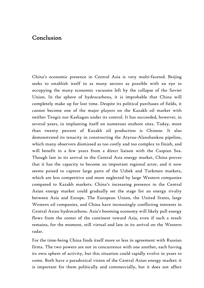# Conclusion

China's economic presence in Central Asia is very multi-faceted. Beijing seeks to establish itself in as many sectors as possible with an eye to occupying the many economic vacuums left by the collapse of the Soviet Union. In the sphere of hydrocarbons, it is improbable that China will completely make up for lost time. Despite its political purchases of fields, it cannot become one of the major players on the Kazakh oil market with neither Tengiz nor Kashagan under its control. It has succeeded, however, in several years, in implanting itself on numerous onshore sites. Today, more than twenty percent of Kazakh oil production is Chinese. It also demonstrated its tenacity in constructing the Atyrau-Alanshankou pipeline, which many observers dismissed as too costly and too complex to finish, and will benefit in a few years from a direct liaison with the Caspian Sea. Though late in its arrival in the Central Asia energy market, China proves that it has the capacity to become an important regional actor, and it now seems poised to capture large parts of the Uzbek and Turkmen markets, which are less competitive and more neglected by large Western companies compared to Kazakh markets. China's increasing presence in the Central Asian energy market could gradually set the stage for an energy rivalry between Asia and Europe. The European Union, the United States, large Western oil companies, and China have increasingly conflicting interests in Central Asian hydrocarbons. Asia's booming economy will likely pull energy flows from the center of the continent toward Asia, even if such a result remains, for the moment, still virtual and late in its arrival on the Western radar.

For the time-being China finds itself more or less in agreement with Russian firms. The two powers are not in concurrence with one another, each having its own sphere of activity, but this situation could rapidly evolve in years to come. Both have a paradoxical vision of the Central Asian energy market: it is important for them politically and commercially, but it does not affect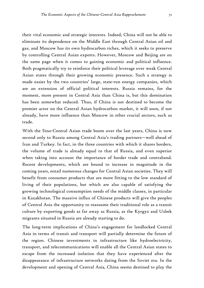their vital economic and strategic interests. Indeed, China will not be able to eliminate its dependence on the Middle East through Central Asian oil and gas, and Moscow has its own hydrocarbon riches, which it seeks to preserve by controlling Central Asian exports. However, Moscow and Beijing are on the same page when it comes to gaining economic and political influence. Both pragmatically try to reinforce their political leverage over weak Central Asian states through their growing economic presence. Such a strategy is made easier by the two countries' large, state-run energy companies, which are an extension of official political interests. Russia remains, for the moment, more present in Central Asia than China is, but this domination has been somewhat reduced. Thus, if China is not destined to become the premier actor on the Central Asian hydrocarbon market, it will soon, if not already, have more influence than Moscow in other crucial sectors, such as trade.

With the Sino-Central Asian trade boom over the last years, China is now second only to Russia among Central Asia's trading partners—well ahead of Iran and Turkey. In fact, in the three countries with which it shares borders, the volume of trade is already equal to that of Russia, and even superior when taking into account the importance of border trade and contraband. Recent developments, which are bound to increase in magnitude in the coming years, entail numerous changes for Central Asian societies. They will benefit from consumer products that are more fitting to the low standard of living of their populations, but which are also capable of satisfying the growing technological consumption needs of the middle classes, in particular in Kazakhstan. The massive influx of Chinese products will give the peoples of Central Asia the opportunity to reassume their traditional role as a transit culture by exporting goods as far away as Russia, as the Kyrgyz and Uzbek migrants situated in Russia are already starting to do.

The long-term implications of China's engagement for landlocked Central Asia in terms of transit and transport will partially determine the future of the region. Chinese investments in infrastructure like hydroelectricity, transport, and telecommunications will enable all the Central Asian states to escape from the increased isolation that they have experienced after the disappearance of infrastructure networks dating from the Soviet era. In the development and opening of Central Asia, China seems destined to play the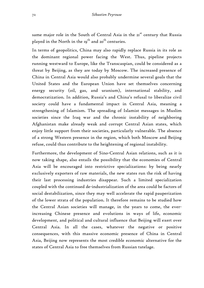same major role in the South of Central Asia in the 21st century that Russia played in the North in the  $19<sup>th</sup>$  and  $20<sup>th</sup>$  centuries.

In terms of geopolitics, China may also rapidly replace Russia in its role as the dominant regional power facing the West. Thus, pipeline projects running westward to Europe, like the Transcaspian, could be considered as a threat by Beijing, as they are today by Moscow. The increased presence of China in Central Asia would also probably undermine several goals that the United States and the European Union have set themselves concerning energy security (oil, gas, and uranium), international stability, and democratization. In addition, Russia's and China's refusal to liberalize civil society could have a fundamental impact in Central Asia, meaning a strengthening of Islamism. The spreading of Islamist messages in Muslim societies since the Iraq war and the chronic instability of neighboring Afghanistan make already weak and corrupt Central Asian states, which enjoy little support from their societies, particularly vulnerable. The absence of a strong Western presence in the region, which both Moscow and Beijing refuse, could thus contribute to the heightening of regional instability.

Furthermore, the development of Sino-Central Asian relations, such as it is now taking shape, also entails the possibility that the economies of Central Asia will be encouraged into restrictive specializations: by being nearly exclusively exporters of raw materials, the new states run the risk of having their last processing industries disappear. Such a limited specialization coupled with the continued de-industrialization of the area could be factors of social destabilization, since they may well accelerate the rapid pauperization of the lower strata of the population. It therefore remains to be studied how the Central Asian societies will manage, in the years to come, the everincreasing Chinese presence and evolutions in ways of life, economic development, and political and cultural influence that Beijing will exert over Central Asia. In all the cases, whatever the negative or positive consequences, with this massive economic presence of China in Central Asia, Beijing now represents the most credible economic alternative for the states of Central Asia to free themselves from Russian tutelage.